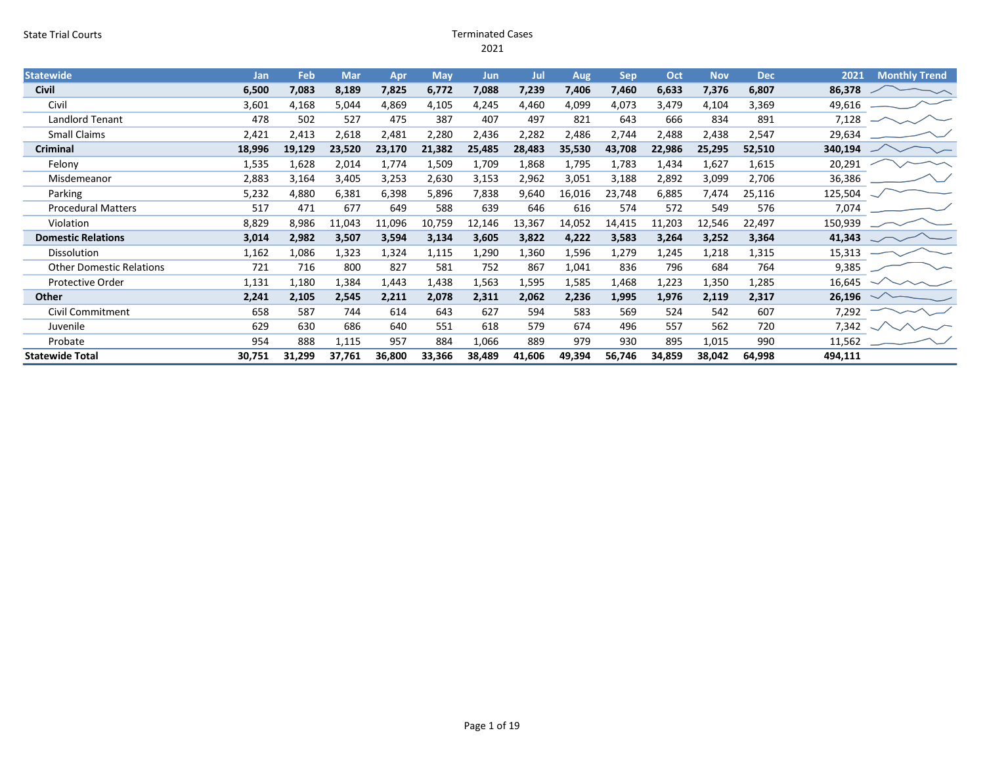#### State Trial Courts Terminated Cases 2021

| <b>Statewide</b>                | Jan    | Feb    | <b>Mar</b> | Apr    | <b>May</b> | <b>Jun</b> | Jul    | Aug    | <b>Sep</b> | Oct    | <b>Nov</b> | <b>Dec</b> | 2021    | <b>Monthly Trend</b> |
|---------------------------------|--------|--------|------------|--------|------------|------------|--------|--------|------------|--------|------------|------------|---------|----------------------|
| <b>Civil</b>                    | 6,500  | 7,083  | 8,189      | 7,825  | 6,772      | 7,088      | 7,239  | 7,406  | 7,460      | 6,633  | 7,376      | 6,807      | 86,378  |                      |
| Civil                           | 3,601  | 4,168  | 5,044      | 4,869  | 4,105      | 4,245      | 4,460  | 4,099  | 4,073      | 3,479  | 4,104      | 3,369      | 49,616  |                      |
| Landlord Tenant                 | 478    | 502    | 527        | 475    | 387        | 407        | 497    | 821    | 643        | 666    | 834        | 891        | 7,128   |                      |
| <b>Small Claims</b>             | 2,421  | 2,413  | 2,618      | 2,481  | 2,280      | 2,436      | 2,282  | 2,486  | 2,744      | 2,488  | 2,438      | 2,547      | 29,634  |                      |
| <b>Criminal</b>                 | 18,996 | 19,129 | 23,520     | 23,170 | 21,382     | 25,485     | 28,483 | 35,530 | 43,708     | 22,986 | 25,295     | 52,510     | 340,194 |                      |
| Felony                          | 1,535  | 1,628  | 2,014      | 1,774  | 1,509      | 1,709      | 1,868  | 1,795  | 1,783      | 1,434  | 1,627      | 1,615      | 20,291  |                      |
| Misdemeanor                     | 2,883  | 3,164  | 3,405      | 3,253  | 2,630      | 3,153      | 2,962  | 3,051  | 3,188      | 2,892  | 3,099      | 2,706      | 36,386  |                      |
| Parking                         | 5,232  | 4,880  | 6,381      | 6,398  | 5,896      | 7,838      | 9,640  | 16,016 | 23,748     | 6,885  | 7,474      | 25,116     | 125,504 |                      |
| <b>Procedural Matters</b>       | 517    | 471    | 677        | 649    | 588        | 639        | 646    | 616    | 574        | 572    | 549        | 576        | 7,074   |                      |
| Violation                       | 8,829  | 8,986  | 11,043     | 11,096 | 10,759     | 12,146     | 13,367 | 14,052 | 14,415     | 11,203 | 12,546     | 22,497     | 150,939 |                      |
| <b>Domestic Relations</b>       | 3,014  | 2,982  | 3,507      | 3,594  | 3,134      | 3,605      | 3,822  | 4,222  | 3,583      | 3,264  | 3,252      | 3,364      | 41,343  |                      |
| Dissolution                     | 1,162  | 1,086  | 1,323      | 1,324  | 1,115      | 1,290      | 1,360  | 1,596  | 1,279      | 1,245  | 1,218      | 1,315      | 15,313  |                      |
| <b>Other Domestic Relations</b> | 721    | 716    | 800        | 827    | 581        | 752        | 867    | 1,041  | 836        | 796    | 684        | 764        | 9,385   |                      |
| <b>Protective Order</b>         | 1,131  | 1,180  | 1,384      | 1,443  | 1,438      | 1,563      | 1,595  | 1,585  | 1,468      | 1,223  | 1,350      | 1,285      | 16,645  |                      |
| Other                           | 2,241  | 2,105  | 2,545      | 2,211  | 2,078      | 2,311      | 2,062  | 2,236  | 1,995      | 1,976  | 2,119      | 2,317      | 26,196  |                      |
| Civil Commitment                | 658    | 587    | 744        | 614    | 643        | 627        | 594    | 583    | 569        | 524    | 542        | 607        | 7,292   |                      |
| Juvenile                        | 629    | 630    | 686        | 640    | 551        | 618        | 579    | 674    | 496        | 557    | 562        | 720        | 7,342   |                      |
| Probate                         | 954    | 888    | 1,115      | 957    | 884        | 1,066      | 889    | 979    | 930        | 895    | 1,015      | 990        | 11,562  |                      |
| <b>Statewide Total</b>          | 30,751 | 31,299 | 37,761     | 36,800 | 33,366     | 38,489     | 41,606 | 49,394 | 56,746     | 34,859 | 38,042     | 64,998     | 494,111 |                      |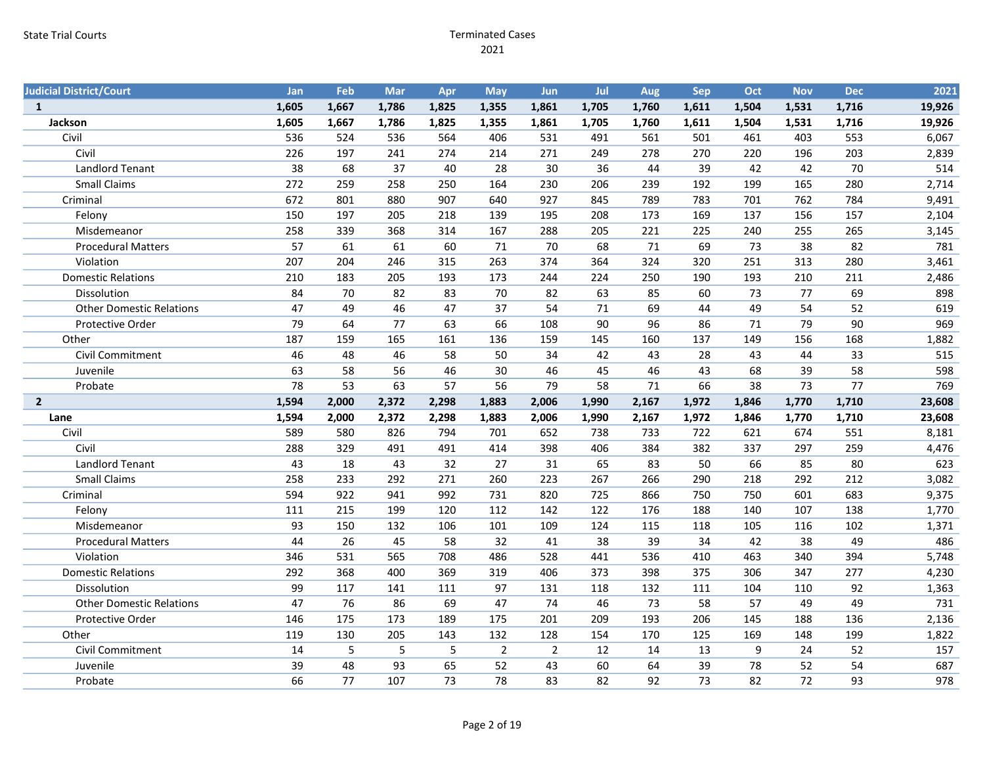| <b>Judicial District/Court</b>  | Jan   | Feb   | Mar   | Apr   | <b>May</b>     | <b>Jun</b>     | Jul   | Aug   | Sep   | Oct   | <b>Nov</b> | <b>Dec</b> | 2021   |
|---------------------------------|-------|-------|-------|-------|----------------|----------------|-------|-------|-------|-------|------------|------------|--------|
| $\mathbf{1}$                    | 1,605 | 1,667 | 1,786 | 1,825 | 1,355          | 1,861          | 1,705 | 1,760 | 1,611 | 1,504 | 1,531      | 1,716      | 19,926 |
| Jackson                         | 1,605 | 1,667 | 1,786 | 1,825 | 1,355          | 1,861          | 1,705 | 1,760 | 1,611 | 1,504 | 1,531      | 1,716      | 19,926 |
| Civil                           | 536   | 524   | 536   | 564   | 406            | 531            | 491   | 561   | 501   | 461   | 403        | 553        | 6,067  |
| Civil                           | 226   | 197   | 241   | 274   | 214            | 271            | 249   | 278   | 270   | 220   | 196        | 203        | 2,839  |
| <b>Landlord Tenant</b>          | 38    | 68    | 37    | 40    | 28             | 30             | 36    | 44    | 39    | 42    | 42         | 70         | 514    |
| <b>Small Claims</b>             | 272   | 259   | 258   | 250   | 164            | 230            | 206   | 239   | 192   | 199   | 165        | 280        | 2,714  |
| Criminal                        | 672   | 801   | 880   | 907   | 640            | 927            | 845   | 789   | 783   | 701   | 762        | 784        | 9,491  |
| Felony                          | 150   | 197   | 205   | 218   | 139            | 195            | 208   | 173   | 169   | 137   | 156        | 157        | 2,104  |
| Misdemeanor                     | 258   | 339   | 368   | 314   | 167            | 288            | 205   | 221   | 225   | 240   | 255        | 265        | 3,145  |
| <b>Procedural Matters</b>       | 57    | 61    | 61    | 60    | 71             | 70             | 68    | 71    | 69    | 73    | 38         | 82         | 781    |
| Violation                       | 207   | 204   | 246   | 315   | 263            | 374            | 364   | 324   | 320   | 251   | 313        | 280        | 3,461  |
| <b>Domestic Relations</b>       | 210   | 183   | 205   | 193   | 173            | 244            | 224   | 250   | 190   | 193   | 210        | 211        | 2,486  |
| Dissolution                     | 84    | 70    | 82    | 83    | 70             | 82             | 63    | 85    | 60    | 73    | 77         | 69         | 898    |
| <b>Other Domestic Relations</b> | 47    | 49    | 46    | 47    | 37             | 54             | 71    | 69    | 44    | 49    | 54         | 52         | 619    |
| Protective Order                | 79    | 64    | 77    | 63    | 66             | 108            | 90    | 96    | 86    | 71    | 79         | 90         | 969    |
| Other                           | 187   | 159   | 165   | 161   | 136            | 159            | 145   | 160   | 137   | 149   | 156        | 168        | 1,882  |
| Civil Commitment                | 46    | 48    | 46    | 58    | 50             | 34             | 42    | 43    | 28    | 43    | 44         | 33         | 515    |
| Juvenile                        | 63    | 58    | 56    | 46    | 30             | 46             | 45    | 46    | 43    | 68    | 39         | 58         | 598    |
| Probate                         | 78    | 53    | 63    | 57    | 56             | 79             | 58    | 71    | 66    | 38    | 73         | 77         | 769    |
|                                 |       |       |       |       |                |                |       |       |       |       |            |            |        |
| $2^{\circ}$                     | 1,594 | 2,000 | 2,372 | 2,298 | 1,883          | 2,006          | 1,990 | 2,167 | 1,972 | 1,846 | 1,770      | 1,710      | 23,608 |
| Lane                            | 1,594 | 2,000 | 2,372 | 2,298 | 1,883          | 2,006          | 1,990 | 2,167 | 1,972 | 1,846 | 1,770      | 1,710      | 23,608 |
| Civil                           | 589   | 580   | 826   | 794   | 701            | 652            | 738   | 733   | 722   | 621   | 674        | 551        | 8,181  |
| Civil                           | 288   | 329   | 491   | 491   | 414            | 398            | 406   | 384   | 382   | 337   | 297        | 259        | 4,476  |
| Landlord Tenant                 | 43    | 18    | 43    | 32    | 27             | 31             | 65    | 83    | 50    | 66    | 85         | 80         | 623    |
| <b>Small Claims</b>             | 258   | 233   | 292   | 271   | 260            | 223            | 267   | 266   | 290   | 218   | 292        | 212        | 3,082  |
| Criminal                        | 594   | 922   | 941   | 992   | 731            | 820            | 725   | 866   | 750   | 750   | 601        | 683        | 9,375  |
| Felony                          | 111   | 215   | 199   | 120   | 112            | 142            | 122   | 176   | 188   | 140   | 107        | 138        | 1,770  |
| Misdemeanor                     | 93    | 150   | 132   | 106   | 101            | 109            | 124   | 115   | 118   | 105   | 116        | 102        | 1,371  |
| <b>Procedural Matters</b>       | 44    | 26    | 45    | 58    | 32             | 41             | 38    | 39    | 34    | 42    | 38         | 49         | 486    |
| Violation                       | 346   | 531   | 565   | 708   | 486            | 528            | 441   | 536   | 410   | 463   | 340        | 394        | 5,748  |
| <b>Domestic Relations</b>       | 292   | 368   | 400   | 369   | 319            | 406            | 373   | 398   | 375   | 306   | 347        | 277        | 4,230  |
| Dissolution                     | 99    | 117   | 141   | 111   | 97             | 131            | 118   | 132   | 111   | 104   | 110        | 92         | 1,363  |
| <b>Other Domestic Relations</b> | 47    | 76    | 86    | 69    | 47             | 74             | 46    | 73    | 58    | 57    | 49         | 49         | 731    |
| Protective Order                | 146   | 175   | 173   | 189   | 175            | 201            | 209   | 193   | 206   | 145   | 188        | 136        | 2,136  |
| Other                           | 119   | 130   | 205   | 143   | 132            | 128            | 154   | 170   | 125   | 169   | 148        | 199        | 1,822  |
| Civil Commitment                | 14    | 5     | 5     | 5     | $\overline{2}$ | $\overline{2}$ | 12    | 14    | 13    | 9     | 24         | 52         | 157    |
| Juvenile                        | 39    | 48    | 93    | 65    | 52             | 43             | 60    | 64    | 39    | 78    | 52         | 54         | 687    |
| Probate                         | 66    | 77    | 107   | 73    | 78             | 83             | 82    | 92    | 73    | 82    | 72         | 93         | 978    |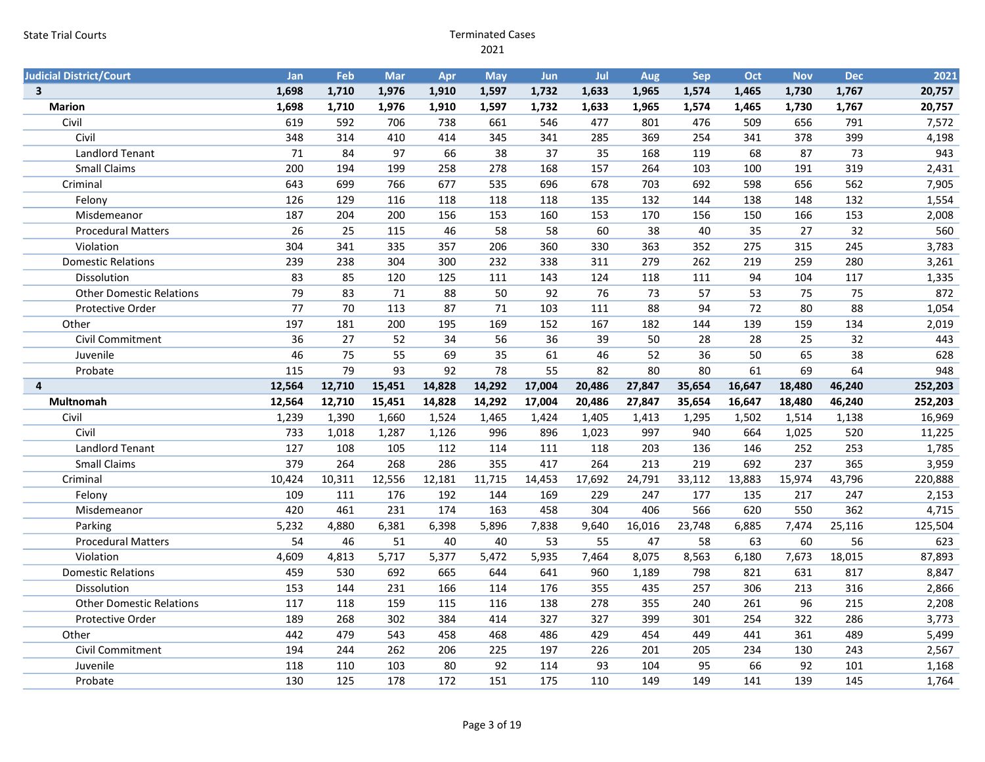| <b>Judicial District/Court</b>  | Jan             | Feb             | <b>Mar</b> | Apr    | <b>May</b> | <b>Jun</b> | Jul    | Aug    | Sep    | Oct    | <b>Nov</b> | <b>Dec</b> | 2021    |
|---------------------------------|-----------------|-----------------|------------|--------|------------|------------|--------|--------|--------|--------|------------|------------|---------|
| $\overline{\mathbf{3}}$         | 1,698           | 1,710           | 1,976      | 1,910  | 1,597      | 1,732      | 1,633  | 1,965  | 1,574  | 1,465  | 1,730      | 1,767      | 20,757  |
| <b>Marion</b>                   | 1,698           | 1,710           | 1,976      | 1,910  | 1,597      | 1,732      | 1,633  | 1,965  | 1,574  | 1,465  | 1,730      | 1,767      | 20,757  |
| Civil                           | 619             | 592             | 706        | 738    | 661        | 546        | 477    | 801    | 476    | 509    | 656        | 791        | 7,572   |
| Civil                           | 348             | 314             | 410        | 414    | 345        | 341        | 285    | 369    | 254    | 341    | 378        | 399        | 4,198   |
| <b>Landlord Tenant</b>          | 71              | 84              | 97         | 66     | 38         | 37         | 35     | 168    | 119    | 68     | 87         | 73         | 943     |
| <b>Small Claims</b>             | 200             | 194             | 199        | 258    | 278        | 168        | 157    | 264    | 103    | 100    | 191        | 319        | 2,431   |
| Criminal                        | 643             | 699             | 766        | 677    | 535        | 696        | 678    | 703    | 692    | 598    | 656        | 562        | 7,905   |
| Felony                          | 126             | 129             | 116        | 118    | 118        | 118        | 135    | 132    | 144    | 138    | 148        | 132        | 1,554   |
| Misdemeanor                     | 187             | 204             | 200        | 156    | 153        | 160        | 153    | 170    | 156    | 150    | 166        | 153        | 2,008   |
| <b>Procedural Matters</b>       | 26              | 25              | 115        | 46     | 58         | 58         | 60     | 38     | 40     | 35     | 27         | 32         | 560     |
| Violation                       | 304             | 341             | 335        | 357    | 206        | 360        | 330    | 363    | 352    | 275    | 315        | 245        | 3,783   |
| <b>Domestic Relations</b>       | 239             | 238             | 304        | 300    | 232        | 338        | 311    | 279    | 262    | 219    | 259        | 280        | 3,261   |
| Dissolution                     | 83              | 85              | 120        | 125    | 111        | 143        | 124    | 118    | 111    | 94     | 104        | 117        | 1,335   |
| <b>Other Domestic Relations</b> | 79              | 83              | 71         | 88     | 50         | 92         | 76     | 73     | 57     | 53     | 75         | 75         | 872     |
| Protective Order                | $\overline{77}$ | 70              | 113        | 87     | 71         | 103        | 111    | 88     | 94     | 72     | 80         | 88         | 1,054   |
| Other                           | 197             | 181             | 200        | 195    | 169        | 152        | 167    | 182    | 144    | 139    | 159        | 134        | 2,019   |
| Civil Commitment                | 36              | $\overline{27}$ | 52         | 34     | 56         | 36         | 39     | 50     | 28     | 28     | 25         | 32         | 443     |
| Juvenile                        | 46              | 75              | 55         | 69     | 35         | 61         | 46     | 52     | 36     | 50     | 65         | 38         | 628     |
| Probate                         | 115             | 79              | 93         | 92     | 78         | 55         | 82     | 80     | 80     | 61     | 69         | 64         | 948     |
| 4                               | 12,564          | 12,710          | 15,451     | 14,828 | 14,292     | 17,004     | 20,486 | 27,847 | 35,654 | 16,647 | 18,480     | 46,240     | 252,203 |
|                                 |                 |                 |            |        |            |            |        |        |        |        |            |            |         |
| <b>Multnomah</b>                | 12,564          | 12,710          | 15,451     | 14,828 | 14,292     | 17,004     | 20,486 | 27,847 | 35,654 | 16,647 | 18,480     | 46,240     | 252,203 |
| Civil                           | 1,239           | 1,390           | 1,660      | 1,524  | 1,465      | 1,424      | 1,405  | 1,413  | 1,295  | 1,502  | 1,514      | 1,138      | 16,969  |
| Civil                           | 733             | 1,018           | 1,287      | 1,126  | 996        | 896        | 1,023  | 997    | 940    | 664    | 1,025      | 520        | 11,225  |
| <b>Landlord Tenant</b>          | 127             | 108             | 105        | 112    | 114        | 111        | 118    | 203    | 136    | 146    | 252        | 253        | 1,785   |
| <b>Small Claims</b>             | 379             | 264             | 268        | 286    | 355        | 417        | 264    | 213    | 219    | 692    | 237        | 365        | 3,959   |
| Criminal                        | 10,424          | 10,311          | 12,556     | 12,181 | 11,715     | 14,453     | 17,692 | 24,791 | 33,112 | 13,883 | 15,974     | 43,796     | 220,888 |
| Felony                          | 109             | 111             | 176        | 192    | 144        | 169        | 229    | 247    | 177    | 135    | 217        | 247        | 2,153   |
| Misdemeanor                     | 420             | 461             | 231        | 174    | 163        | 458        | 304    | 406    | 566    | 620    | 550        | 362        | 4,715   |
| Parking                         | 5,232           | 4,880           | 6,381      | 6,398  | 5,896      | 7,838      | 9,640  | 16,016 | 23,748 | 6,885  | 7,474      | 25,116     | 125,504 |
| <b>Procedural Matters</b>       | 54              | 46              | 51         | 40     | 40         | 53         | 55     | 47     | 58     | 63     | 60         | 56         | 623     |
| Violation                       | 4,609           | 4,813           | 5,717      | 5,377  | 5,472      | 5,935      | 7,464  | 8,075  | 8,563  | 6,180  | 7,673      | 18,015     | 87,893  |
| <b>Domestic Relations</b>       | 459             | 530             | 692        | 665    | 644        | 641        | 960    | 1,189  | 798    | 821    | 631        | 817        | 8,847   |
| <b>Dissolution</b>              | 153             | 144             | 231        | 166    | 114        | 176        | 355    | 435    | 257    | 306    | 213        | 316        | 2,866   |
| <b>Other Domestic Relations</b> | 117             | 118             | 159        | 115    | 116        | 138        | 278    | 355    | 240    | 261    | 96         | 215        | 2,208   |
| Protective Order                | 189             | 268             | 302        | 384    | 414        | 327        | 327    | 399    | 301    | 254    | 322        | 286        | 3,773   |
| Other                           | 442             | 479             | 543        | 458    | 468        | 486        | 429    | 454    | 449    | 441    | 361        | 489        | 5,499   |
| Civil Commitment                | 194             | 244             | 262        | 206    | 225        | 197        | 226    | 201    | 205    | 234    | 130        | 243        | 2,567   |
| Juvenile                        | 118             | 110             | 103        | 80     | 92         | 114        | 93     | 104    | 95     | 66     | 92         | 101        | 1,168   |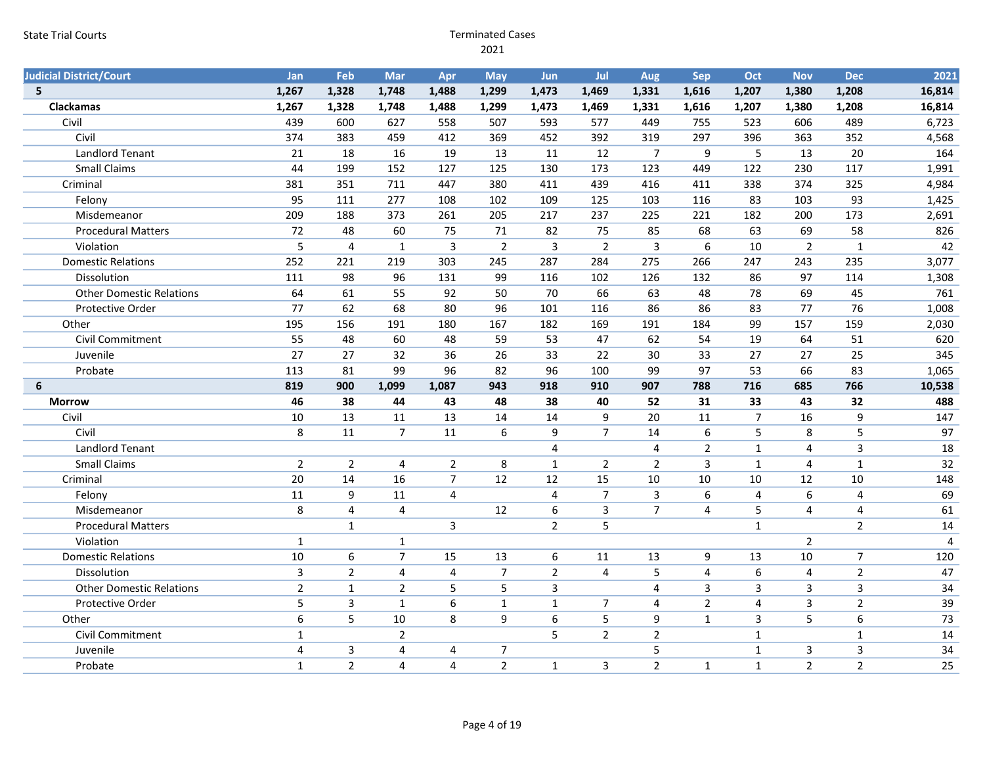| <b>Judicial District/Court</b>  | Jan              | <b>Feb</b>     | Mar            | Apr            | <b>May</b>     | <b>Jun</b>       | Jul            | Aug                     | Sep                     | Oct                     | <b>Nov</b>              | <b>Dec</b>              | 2021           |
|---------------------------------|------------------|----------------|----------------|----------------|----------------|------------------|----------------|-------------------------|-------------------------|-------------------------|-------------------------|-------------------------|----------------|
| 5 <sup>5</sup>                  | 1,267            | 1,328          | 1,748          | 1,488          | 1,299          | 1,473            | 1,469          | 1,331                   | 1,616                   | 1,207                   | 1,380                   | 1,208                   | 16,814         |
| Clackamas                       | 1,267            | 1,328          | 1,748          | 1,488          | 1,299          | 1,473            | 1,469          | 1,331                   | 1,616                   | 1,207                   | 1,380                   | 1,208                   | 16,814         |
| Civil                           | 439              | 600            | 627            | 558            | 507            | 593              | 577            | 449                     | 755                     | 523                     | 606                     | 489                     | 6,723          |
| Civil                           | 374              | 383            | 459            | 412            | 369            | 452              | 392            | 319                     | 297                     | 396                     | 363                     | 352                     | 4,568          |
| <b>Landlord Tenant</b>          | 21               | 18             | 16             | 19             | 13             | 11               | 12             | $\overline{7}$          | 9                       | 5                       | 13                      | 20                      | 164            |
| <b>Small Claims</b>             | 44               | 199            | 152            | 127            | 125            | 130              | 173            | 123                     | 449                     | 122                     | 230                     | 117                     | 1,991          |
| Criminal                        | 381              | 351            | 711            | 447            | 380            | 411              | 439            | 416                     | 411                     | 338                     | 374                     | 325                     | 4,984          |
| Felony                          | 95               | 111            | 277            | 108            | 102            | 109              | 125            | 103                     | 116                     | 83                      | 103                     | 93                      | 1,425          |
| Misdemeanor                     | 209              | 188            | 373            | 261            | 205            | 217              | 237            | 225                     | 221                     | 182                     | 200                     | 173                     | 2,691          |
| <b>Procedural Matters</b>       | 72               | 48             | 60             | 75             | 71             | 82               | 75             | 85                      | 68                      | 63                      | 69                      | 58                      | 826            |
| Violation                       | 5                | 4              | 1              | 3              | $\overline{2}$ | $\mathsf 3$      | $\overline{2}$ | 3                       | $6\phantom{1}6$         | 10                      | $\overline{2}$          | $\mathbf{1}$            | 42             |
| <b>Domestic Relations</b>       | 252              | 221            | 219            | 303            | 245            | 287              | 284            | 275                     | 266                     | 247                     | 243                     | 235                     | 3,077          |
| Dissolution                     | 111              | 98             | 96             | 131            | 99             | 116              | 102            | 126                     | 132                     | 86                      | 97                      | 114                     | 1,308          |
| <b>Other Domestic Relations</b> | 64               | 61             | 55             | 92             | 50             | 70               | 66             | 63                      | 48                      | 78                      | 69                      | 45                      | 761            |
| Protective Order                | 77               | 62             | 68             | 80             | 96             | 101              | 116            | 86                      | 86                      | 83                      | 77                      | 76                      | 1,008          |
| Other                           | 195              | 156            | 191            | 180            | 167            | 182              | 169            | 191                     | 184                     | 99                      | 157                     | 159                     | 2,030          |
| <b>Civil Commitment</b>         | 55               | 48             | 60             | 48             | 59             | 53               | 47             | 62                      | 54                      | 19                      | 64                      | 51                      | 620            |
| Juvenile                        | 27               | 27             | 32             | 36             | 26             | 33               | 22             | 30                      | 33                      | 27                      | 27                      | 25                      | 345            |
| Probate                         | 113              | 81             | 99             | 96             | 82             | 96               | 100            | 99                      | 97                      | 53                      | 66                      | 83                      | 1,065          |
| 6                               | 819              | 900            | 1,099          | 1,087          | 943            | 918              | 910            | 907                     | 788                     | 716                     | 685                     | 766                     | 10,538         |
| <b>Morrow</b>                   | 46               | 38             | 44             | 43             | 48             | 38               | 40             | 52                      | 31                      | 33                      | 43                      | 32                      | 488            |
| Civil                           | 10               | 13             | 11             | 13             | 14             | 14               | $9\,$          | 20                      | 11                      | $\overline{7}$          | 16                      | 9                       | 147            |
| Civil                           | 8                | 11             | $\overline{7}$ | 11             | 6              | 9                | $\overline{7}$ | 14                      | $\boldsymbol{6}$        | 5                       | 8                       | 5                       | 97             |
| <b>Landlord Tenant</b>          |                  |                |                |                |                | $\overline{4}$   |                | $\overline{4}$          | $\overline{2}$          | $\mathbf{1}$            | $\overline{\mathbf{4}}$ | $\overline{3}$          | 18             |
| <b>Small Claims</b>             | $\overline{2}$   | $\overline{2}$ | 4              | $\overline{2}$ | 8              | $\mathbf{1}$     | $\overline{2}$ | $\overline{2}$          | $\overline{3}$          | $\mathbf 1$             | $\overline{4}$          | $\mathbf 1$             | 32             |
| Criminal                        | 20               | 14             | 16             | $\overline{7}$ | 12             | 12               | 15             | 10                      | 10                      | 10                      | 12                      | 10                      | 148            |
| Felony                          | 11               | 9              | 11             | $\overline{4}$ |                | $\overline{4}$   | $\overline{7}$ | 3                       | $\boldsymbol{6}$        | $\overline{\mathbf{4}}$ | 6                       | $\overline{\mathbf{4}}$ | 69             |
| Misdemeanor                     | 8                | $\overline{4}$ | $\overline{4}$ |                | 12             | $6\phantom{1}$   | $\overline{3}$ | $\overline{7}$          | $\overline{4}$          | 5                       | $\overline{4}$          | $\overline{\mathbf{4}}$ | 61             |
| <b>Procedural Matters</b>       |                  | $\mathbf{1}$   |                | 3              |                | $\overline{2}$   | 5              |                         |                         | $\mathbf{1}$            |                         | $\overline{2}$          | 14             |
| Violation                       | $\mathbf{1}$     |                | $\mathbf{1}$   |                |                |                  |                |                         |                         |                         | $\overline{2}$          |                         | $\overline{4}$ |
| <b>Domestic Relations</b>       | 10               | $\sqrt{6}$     | $\overline{7}$ | 15             | 13             | 6                | 11             | 13                      | 9                       | 13                      | 10                      | $\overline{7}$          | 120            |
| Dissolution                     | $\overline{3}$   | $\overline{2}$ | $\overline{4}$ | 4              | $\overline{7}$ | $\overline{2}$   | $\overline{4}$ | 5                       | $\overline{\mathbf{4}}$ | $\boldsymbol{6}$        | 4                       | $\overline{2}$          | 47             |
| <b>Other Domestic Relations</b> | $\overline{2}$   | $\mathbf 1$    | $\overline{2}$ | 5              | 5              | $\overline{3}$   |                | $\overline{4}$          | 3                       | 3                       | $\overline{3}$          | $\overline{3}$          | 34             |
| Protective Order                | 5                | $\overline{3}$ | $\mathbf{1}$   | 6              | $\mathbf{1}$   | $\mathbf{1}$     | $\overline{7}$ | $\overline{\mathbf{4}}$ | $\overline{2}$          | 4                       | 3                       | $\overline{2}$          | 39             |
| Other                           | $\boldsymbol{6}$ | 5              | 10             | 8              | 9              | $\boldsymbol{6}$ | 5              | $\overline{9}$          | $\mathbf{1}$            | $\mathsf{3}$            | 5                       | $6\phantom{1}$          | 73             |
| Civil Commitment                | $\mathbf{1}$     |                | $\overline{2}$ |                |                | 5                | $\overline{2}$ | $\overline{2}$          |                         | $\mathbf{1}$            |                         | $\mathbf{1}$            | 14             |
| Juvenile                        | $\overline{4}$   | $\mathbf{3}$   | 4              | 4              | $\overline{7}$ |                  |                | 5                       |                         | $\mathbf{1}$            | 3                       | $\mathsf{3}$            | 34             |
| Probate                         | $\mathbf{1}$     | $\overline{2}$ | 4              | $\overline{4}$ | $\overline{2}$ | $\mathbf{1}$     | 3              | $\overline{2}$          | $\mathbf{1}$            | $\mathbf{1}$            | $\overline{2}$          | $\overline{2}$          | 25             |
|                                 |                  |                |                |                |                |                  |                |                         |                         |                         |                         |                         |                |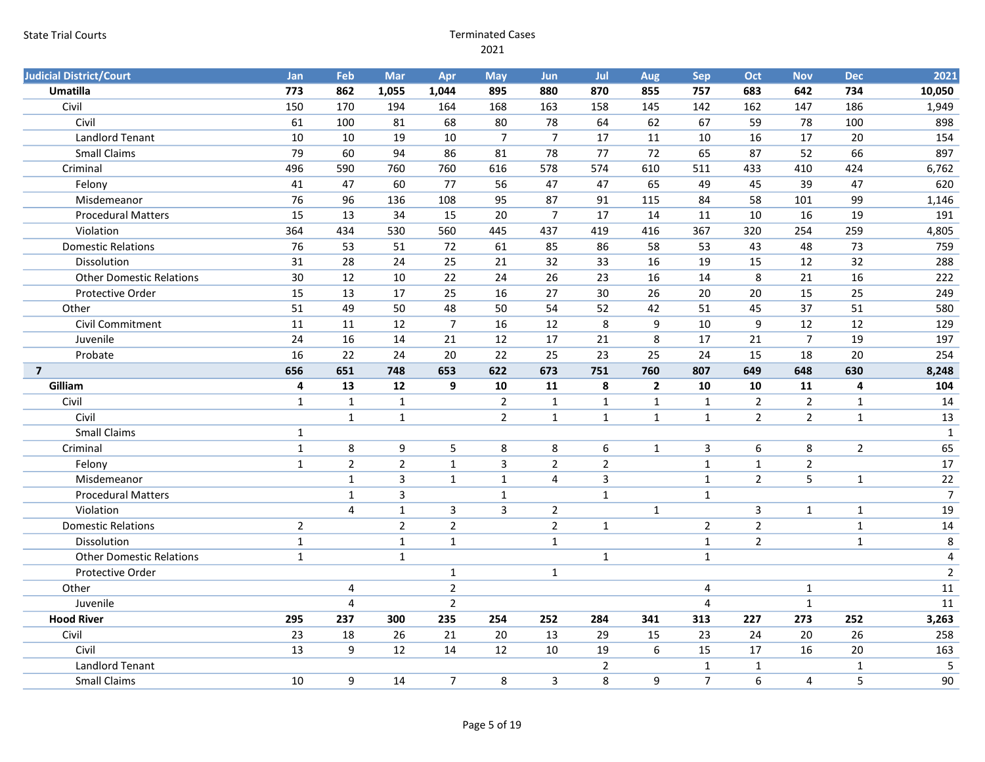| <b>Judicial District/Court</b>  | Jan            | Feb                     | <b>Mar</b>     | Apr            | <b>May</b>     | Jun            | Jul                 | Aug                     | <b>Sep</b>     | <b>Oct</b>       | <b>Nov</b>     | <b>Dec</b>              | 2021           |
|---------------------------------|----------------|-------------------------|----------------|----------------|----------------|----------------|---------------------|-------------------------|----------------|------------------|----------------|-------------------------|----------------|
| Umatilla                        | 773            | 862                     | 1,055          | 1,044          | 895            | 880            | 870                 | 855                     | 757            | 683              | 642            | 734                     | 10,050         |
| Civil                           | 150            | 170                     | 194            | 164            | 168            | 163            | 158                 | 145                     | 142            | 162              | 147            | 186                     | 1,949          |
| Civil                           | 61             | 100                     | 81             | 68             | 80             | 78             | 64                  | 62                      | 67             | 59               | 78             | 100                     | 898            |
| <b>Landlord Tenant</b>          | 10             | 10                      | 19             | 10             | $\overline{7}$ | $\overline{7}$ | 17                  | 11                      | 10             | 16               | 17             | 20                      | 154            |
| <b>Small Claims</b>             | 79             | 60                      | 94             | 86             | 81             | 78             | 77                  | 72                      | 65             | 87               | 52             | 66                      | 897            |
| Criminal                        | 496            | 590                     | 760            | 760            | 616            | 578            | 574                 | 610                     | 511            | 433              | 410            | 424                     | 6,762          |
| Felony                          | 41             | 47                      | 60             | 77             | 56             | 47             | 47                  | 65                      | 49             | 45               | 39             | 47                      | 620            |
| Misdemeanor                     | 76             | 96                      | 136            | 108            | 95             | 87             | 91                  | 115                     | 84             | 58               | 101            | 99                      | 1,146          |
| <b>Procedural Matters</b>       | 15             | 13                      | 34             | 15             | 20             | $\overline{7}$ | 17                  | 14                      | 11             | 10               | 16             | 19                      | 191            |
| Violation                       | 364            | 434                     | 530            | 560            | 445            | 437            | 419                 | 416                     | 367            | 320              | 254            | 259                     | 4,805          |
| <b>Domestic Relations</b>       | 76             | 53                      | 51             | 72             | 61             | 85             | 86                  | 58                      | 53             | 43               | 48             | 73                      | 759            |
| Dissolution                     | 31             | 28                      | 24             | 25             | 21             | 32             | 33                  | 16                      | 19             | 15               | 12             | 32                      | 288            |
| <b>Other Domestic Relations</b> | 30             | 12                      | 10             | 22             | 24             | 26             | 23                  | 16                      | 14             | 8                | 21             | 16                      | 222            |
| Protective Order                | 15             | 13                      | 17             | 25             | 16             | 27             | 30                  | 26                      | 20             | 20               | 15             | 25                      | 249            |
| Other                           | 51             | 49                      | 50             | 48             | 50             | 54             | 52                  | 42                      | 51             | 45               | 37             | 51                      | 580            |
| Civil Commitment                | 11             | 11                      | 12             | $\overline{7}$ | 16             | 12             | 8                   | 9                       | 10             | 9                | 12             | $\overline{12}$         | 129            |
| Juvenile                        | 24             | 16                      | 14             | 21             | 12             | 17             | 21                  | 8                       | 17             | 21               | $\overline{7}$ | 19                      | 197            |
| Probate                         | 16             | 22                      | 24             | 20             | 22             | 25             | 23                  | 25                      | 24             | 15               | 18             | 20                      | 254            |
| $\overline{\mathbf{z}}$         | 656            | 651                     | 748            | 653            | 622            | 673            | 751                 | 760                     | 807            | 649              | 648            | 630                     | 8,248          |
|                                 |                |                         |                |                |                |                |                     |                         |                |                  |                |                         |                |
| Gilliam                         | 4              | 13                      | 12             | 9              | 10             | 11             | 8                   | $\overline{\mathbf{2}}$ | 10             | 10               | 11             | $\overline{\mathbf{4}}$ | 104            |
| Civil                           | $\mathbf{1}$   | $\mathbf{1}$            | $\mathbf{1}$   |                | $\overline{2}$ | $\mathbf 1$    | $\mathbf 1$         | $\mathbf{1}$            | $\mathbf{1}$   | $\overline{2}$   | $\overline{2}$ | $\mathbf{1}$            | 14             |
| Civil                           |                | $\mathbf 1$             | $\mathbf{1}$   |                | $\overline{2}$ | $\mathbf 1$    | $\mathbf 1$         | $\mathbf{1}$            | $\mathbf{1}$   | $\overline{2}$   | $\overline{2}$ | $\mathbf{1}$            | 13             |
| <b>Small Claims</b>             | $\mathbf{1}$   |                         |                |                |                |                |                     |                         |                |                  |                |                         | 1              |
| Criminal                        | $\mathbf 1$    | 8                       | 9              | 5              | 8              | 8              | 6                   | $\mathbf{1}$            | 3              | $\boldsymbol{6}$ | 8              | $\overline{2}$          | 65             |
| Felony                          | $\mathbf{1}$   | $\overline{2}$          | $\overline{2}$ | $\mathbf{1}$   | $\overline{3}$ | $\overline{2}$ | $\mathbf 2$         |                         | $\mathbf{1}$   | $\mathbf{1}$     | $\overline{2}$ |                         | 17             |
| Misdemeanor                     |                | $\mathbf{1}$            | 3              | $\mathbf{1}$   | $\mathbf{1}$   | 4              | 3                   |                         | $\mathbf{1}$   | $\overline{2}$   | 5              | $\mathbf{1}$            | $22\,$         |
| <b>Procedural Matters</b>       |                | $\mathbf{1}$            | 3              |                | $\mathbf{1}$   |                | $\mathbf 1$         |                         | $\mathbf{1}$   |                  |                |                         | $\overline{7}$ |
| Violation                       |                | $\overline{\mathbf{4}}$ | $\mathbf{1}$   | $\mathbf{3}$   | $\overline{3}$ | $\overline{2}$ |                     | $\mathbf 1$             |                | $\overline{3}$   | $\mathbf{1}$   | $\mathbf{1}$            | 19             |
| <b>Domestic Relations</b>       | $\overline{2}$ |                         | $\overline{2}$ | $\overline{2}$ |                | $\overline{2}$ | $\mathbf{1}$        |                         | $\overline{2}$ | $\overline{2}$   |                | $\mathbf{1}$            | 14             |
| Dissolution                     | $\mathbf 1$    |                         | $\mathbf 1$    | $\mathbf{1}$   |                | $\mathbf{1}$   |                     |                         | $\mathbf{1}$   | $\overline{2}$   |                | $\mathbf{1}$            | $\,8\,$        |
| <b>Other Domestic Relations</b> | $\mathbf{1}$   |                         | $\mathbf{1}$   |                |                |                | $\mathbf{1}$        |                         | $\mathbf{1}$   |                  |                |                         | 4              |
| Protective Order                |                |                         |                | $\mathbf{1}$   |                | $\mathbf{1}$   |                     |                         |                |                  |                |                         | $\overline{2}$ |
| Other                           |                | 4                       |                | $\overline{2}$ |                |                |                     |                         | $\overline{4}$ |                  | $\mathbf{1}$   |                         | 11             |
| Juvenile                        |                | $\overline{4}$          |                | $\overline{2}$ |                |                |                     |                         | $\overline{4}$ |                  | $\mathbf{1}$   |                         | 11             |
| <b>Hood River</b>               | 295            | 237                     | 300            | 235            | 254            | 252            | 284                 | 341                     | 313            | 227              | 273            | 252                     | 3,263          |
| Civil                           | 23             | 18                      | 26             | 21             | 20             | 13             | 29                  | 15                      | 23             | 24               | 20             | 26                      | 258            |
| Civil                           | 13             | 9                       | 12             | 14             | 12             | 10             | 19                  | $\boldsymbol{6}$        | 15             | 17               | 16             | 20                      | 163            |
| <b>Landlord Tenant</b>          | 10             |                         | 14             |                |                |                | $\overline{2}$<br>8 |                         | $\mathbf{1}$   | $\mathbf 1$      |                | $\mathbf{1}$            | 5<br>90        |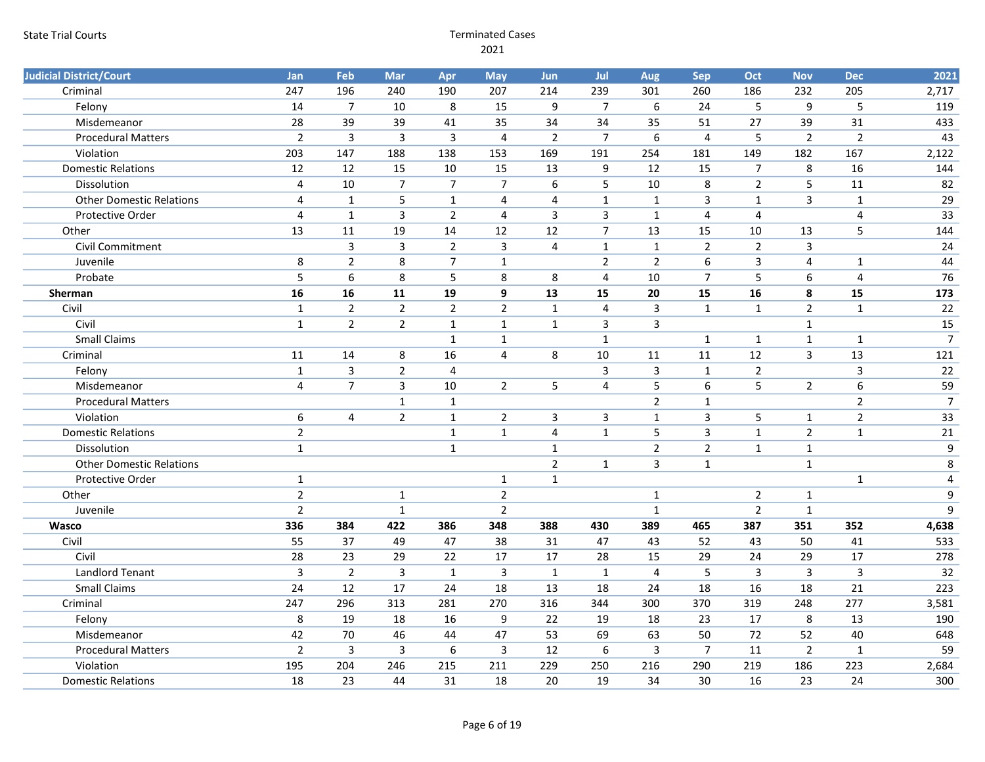| <b>Judicial District/Court</b>  | Jan            | Feb             | Mar            | Apr            | <b>May</b>     | <b>Jun</b>     | Jul            | Aug              | <b>Sep</b>              | Oct            | <b>Nov</b>     | <b>Dec</b>     | 2021           |
|---------------------------------|----------------|-----------------|----------------|----------------|----------------|----------------|----------------|------------------|-------------------------|----------------|----------------|----------------|----------------|
| Criminal                        | 247            | 196             | 240            | 190            | 207            | 214            | 239            | 301              | 260                     | 186            | 232            | 205            | 2,717          |
| Felony                          | 14             | $\overline{7}$  | 10             | 8              | 15             | $9\,$          | $\overline{7}$ | $\boldsymbol{6}$ | 24                      | 5              | 9              | 5              | 119            |
| Misdemeanor                     | 28             | 39              | 39             | 41             | 35             | 34             | 34             | 35               | 51                      | 27             | 39             | 31             | 433            |
| <b>Procedural Matters</b>       | $\overline{2}$ | 3               | $\mathsf{3}$   | 3              | $\overline{4}$ | $\overline{2}$ | $\overline{7}$ | 6                | $\overline{4}$          | 5              | $\overline{2}$ | $\overline{2}$ | 43             |
| Violation                       | 203            | 147             | 188            | 138            | 153            | 169            | 191            | 254              | 181                     | 149            | 182            | 167            | 2,122          |
| <b>Domestic Relations</b>       | 12             | 12              | 15             | 10             | 15             | 13             | $9$            | 12               | 15                      | $\overline{7}$ | 8              | 16             | 144            |
| Dissolution                     | $\overline{4}$ | 10              | $\overline{7}$ | $\overline{7}$ | $\overline{7}$ | $\sqrt{6}$     | 5              | 10               | 8                       | $\overline{2}$ | 5              | 11             | 82             |
| <b>Other Domestic Relations</b> | $\overline{a}$ | $\mathbf 1$     | 5              | $\mathbf 1$    | $\overline{4}$ | $\overline{4}$ | $\mathbf{1}$   | $\mathbf{1}$     | $\overline{3}$          | $\mathbf 1$    | $\overline{3}$ | $\mathbf{1}$   | 29             |
| Protective Order                | $\overline{4}$ | $\mathbf{1}$    | $\mathsf{3}$   | $\overline{2}$ | $\overline{4}$ | $\mathbf{3}$   | $\overline{3}$ | $\mathbf{1}$     | $\overline{4}$          | $\overline{4}$ |                | $\overline{4}$ | 33             |
| Other                           | 13             | 11              | 19             | 14             | 12             | 12             | $\overline{7}$ | 13               | 15                      | 10             | 13             | $\overline{5}$ | 144            |
| Civil Commitment                |                | 3               | $\mathsf{3}$   | $\overline{2}$ | $\mathbf{3}$   | $\overline{4}$ | $\mathbf 1$    | $\mathbf 1$      | $\mathbf 2$             | $\mathbf 2$    | 3              |                | 24             |
| Juvenile                        | 8              | $\overline{2}$  | 8              | $\overline{7}$ | $\mathbf{1}$   |                | $\overline{2}$ | $\overline{2}$   | 6                       | $\mathsf{3}$   | $\overline{4}$ | $\mathbf{1}$   | 44             |
| Probate                         | 5              | 6               | 8              | 5              | 8              | 8              | $\overline{4}$ | 10               | $\overline{7}$          | 5              | 6              | $\overline{4}$ | 76             |
| Sherman                         | 16             | 16              | 11             | 19             | 9              | 13             | 15             | 20               | 15                      | 16             | 8              | 15             | 173            |
| Civil                           | $\mathbf 1$    | $\overline{2}$  | $\overline{2}$ | $\overline{2}$ | $\overline{2}$ | $\mathbf 1$    | 4              | $\overline{3}$   | $\mathbf{1}$            | $\mathbf{1}$   | $\overline{2}$ | $\mathbf{1}$   | 22             |
| Civil                           | $\mathbf{1}$   | $\overline{2}$  | $\overline{2}$ | $\mathbf{1}$   | $\mathbf{1}$   | $\mathbf{1}$   | $\mathbf{3}$   | $\overline{3}$   |                         |                | $\mathbf{1}$   |                | 15             |
| <b>Small Claims</b>             |                |                 |                | $\mathbf{1}$   | $\mathbf{1}$   |                | $\mathbf{1}$   |                  | $\mathbf 1$             | $\mathbf{1}$   | $\mathbf{1}$   | $\mathbf 1$    | $\overline{7}$ |
| Criminal                        | 11             | 14              | 8              | 16             | $\overline{4}$ | $\,8\,$        | 10             | 11               | 11                      | 12             | 3              | 13             | 121            |
| Felony                          | $\mathbf{1}$   | 3               | $\overline{2}$ | 4              |                |                | 3              | 3                | $\mathbf{1}$            | $\overline{2}$ |                | $\overline{3}$ | 22             |
| Misdemeanor                     | $\overline{4}$ | $\overline{7}$  | $\overline{3}$ | 10             | $\overline{2}$ | 5              | $\overline{4}$ | 5                | 6                       | 5              | $\overline{2}$ | 6              | 59             |
| <b>Procedural Matters</b>       |                |                 | $\mathbf{1}$   | $\mathbf{1}$   |                |                |                | $\overline{2}$   | $\mathbf{1}$            |                |                | $\overline{2}$ | $\overline{7}$ |
| Violation                       | 6              | $\overline{4}$  | $\overline{2}$ | $\mathbf{1}$   | $\overline{2}$ | $\mathbf{3}$   | $\mathbf{3}$   | $\mathbf{1}$     | 3                       | 5              | $\mathbf{1}$   | $\overline{2}$ | 33             |
| <b>Domestic Relations</b>       | $\overline{2}$ |                 |                | $\mathbf 1$    | $\mathbf{1}$   | $\overline{4}$ | $\mathbf{1}$   | 5                | $\overline{\mathbf{3}}$ | $\mathbf{1}$   | $\overline{2}$ | $\mathbf{1}$   | 21             |
| Dissolution                     | $\mathbf{1}$   |                 |                | $\mathbf{1}$   |                | $\mathbf{1}$   |                | $\overline{2}$   | $\overline{2}$          | $\mathbf{1}$   | $\mathbf{1}$   |                | 9              |
| <b>Other Domestic Relations</b> |                |                 |                |                |                | $\overline{2}$ | $\mathbf{1}$   | 3                | $\mathbf{1}$            |                | $\mathbf{1}$   |                | 8              |
| Protective Order                | $\mathbf{1}$   |                 |                |                | $\mathbf{1}$   | $\mathbf{1}$   |                |                  |                         |                |                | $\mathbf{1}$   | $\overline{4}$ |
| Other                           | $\mathbf 2$    |                 | $\mathbf 1$    |                | $\overline{2}$ |                |                | $\mathbf{1}$     |                         | $\overline{2}$ | $\mathbf{1}$   |                | 9              |
| Juvenile                        | $\mathbf 2$    |                 | $\mathbf 1$    |                | $\overline{2}$ |                |                | $\mathbf{1}$     |                         | $\overline{2}$ | $\mathbf 1$    |                | 9              |
| Wasco                           | 336            | 384             | 422            | 386            | 348            | 388            | 430            | 389              | 465                     | 387            | 351            | 352            | 4,638          |
| Civil                           | 55             | $\overline{37}$ | 49             | 47             | 38             | 31             | 47             | 43               | 52                      | 43             | 50             | 41             | 533            |
| Civil                           | 28             | 23              | 29             | 22             | 17             | 17             | 28             | 15               | 29                      | 24             | 29             | 17             | 278            |
| <b>Landlord Tenant</b>          | $\overline{3}$ | $\overline{2}$  | $\mathsf{3}$   | $\mathbf{1}$   | $\overline{3}$ | $\mathbf{1}$   | $\mathbf{1}$   | $\overline{4}$   | 5                       | $\overline{3}$ | $\overline{3}$ | $\overline{3}$ | 32             |
| <b>Small Claims</b>             | 24             | 12              | 17             | 24             | 18             | 13             | 18             | 24               | 18                      | 16             | 18             | 21             | 223            |
| Criminal                        | 247            | 296             | 313            | 281            | 270            | 316            | 344            | 300              | 370                     | 319            | 248            | 277            | 3,581          |
| Felony                          | $\,8\,$        | 19              | 18             | 16             | 9              | 22             | 19             | 18               | 23                      | 17             | 8              | 13             | 190            |
| Misdemeanor                     | 42             | 70              | 46             | 44             | 47             | 53             | 69             | 63               | 50                      | 72             | 52             | 40             | 648            |
| <b>Procedural Matters</b>       | $\overline{2}$ | $\mathbf{3}$    | $\mathbf{3}$   | 6              | $\overline{3}$ | 12             | 6              | 3                | $\overline{7}$          | 11             | $\overline{2}$ | $\mathbf 1$    | 59             |
| Violation                       | 195            | 204             | 246            | 215            | 211            | 229            | 250            | 216              | 290                     | 219            | 186            | 223            | 2,684          |
| <b>Domestic Relations</b>       | 18             | 23              | 44             | 31             | 18             | 20             | 19             | 34               | 30                      | 16             | 23             | 24             | 300            |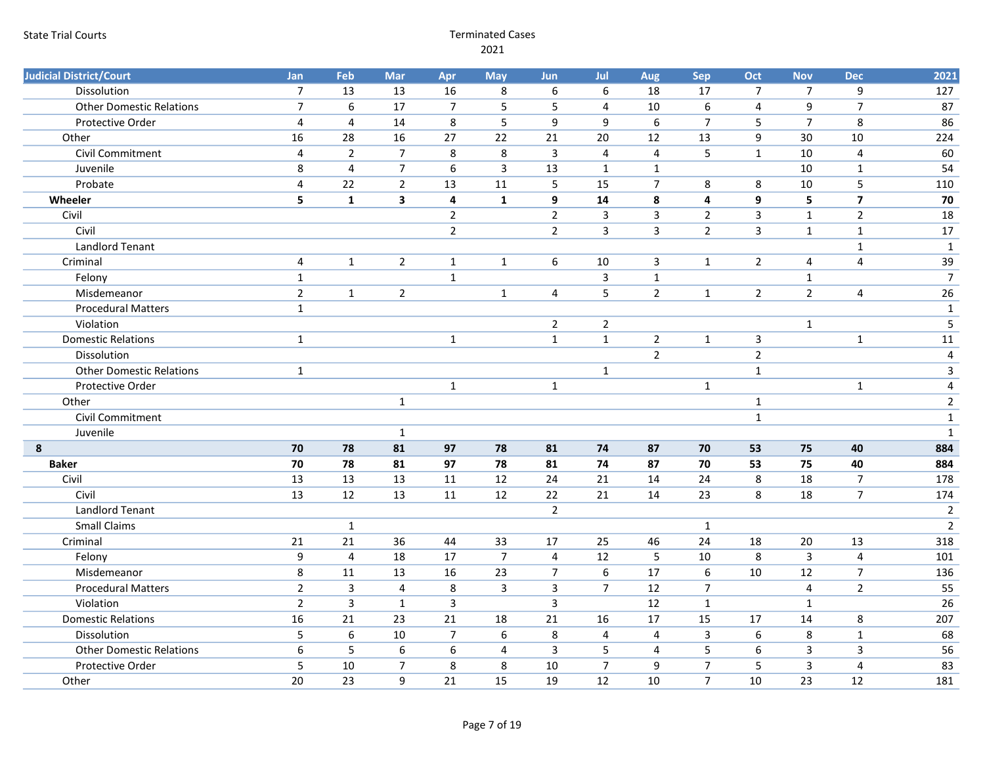| <b>Judicial District/Court</b>  | Jan            | Feb             | Mar                     | Apr                     | <b>May</b>       | Jun                     | Jul              | Aug            | Sep              | Oct                     | <b>Nov</b>              | <b>Dec</b>       | 2021           |
|---------------------------------|----------------|-----------------|-------------------------|-------------------------|------------------|-------------------------|------------------|----------------|------------------|-------------------------|-------------------------|------------------|----------------|
| Dissolution                     | $\overline{7}$ | 13              | 13                      | 16                      | 8                | 6                       | 6                | 18             | 17               | $\overline{7}$          | $\boldsymbol{7}$        | $\boldsymbol{9}$ | 127            |
| <b>Other Domestic Relations</b> | $\overline{7}$ | $6\overline{6}$ | $\overline{17}$         | $\overline{7}$          | 5                | 5                       | $\overline{4}$   | 10             | $\boldsymbol{6}$ | $\overline{\mathbf{4}}$ | 9                       | $\overline{7}$   | 87             |
| Protective Order                | $\overline{4}$ | 4               | 14                      | 8                       | 5                | 9                       | 9                | $\sqrt{6}$     | $\overline{7}$   | 5                       | $\overline{7}$          | 8                | 86             |
| Other                           | 16             | 28              | 16                      | 27                      | 22               | 21                      | 20               | 12             | 13               | 9                       | 30                      | 10               | 224            |
| <b>Civil Commitment</b>         | $\overline{4}$ | $\overline{2}$  | $\overline{7}$          | 8                       | 8                | $\overline{3}$          | $\overline{4}$   | $\overline{4}$ | 5                | $1\,$                   | 10                      | $\overline{4}$   | 60             |
| Juvenile                        | 8              | $\overline{4}$  | $\overline{7}$          | 6                       | $\overline{3}$   | 13                      | $\mathbf{1}$     | $\mathbf{1}$   |                  |                         | 10                      | $1\,$            | 54             |
| Probate                         | $\overline{4}$ | 22              | $\overline{2}$          | 13                      | 11               | 5                       | 15               | $\overline{7}$ | 8                | 8                       | 10                      | 5                | 110            |
| Wheeler                         | 5              | $\mathbf{1}$    | $\overline{\mathbf{3}}$ | $\overline{\mathbf{4}}$ | $\mathbf{1}$     | 9                       | ${\bf 14}$       | ${\bf 8}$      | $\pmb{4}$        | $\boldsymbol{9}$        | 5                       | $\overline{7}$   | 70             |
| Civil                           |                |                 |                         | $\overline{2}$          |                  | $\mathbf 2$             | $\overline{3}$   | $\overline{3}$ | $\overline{2}$   | $\overline{3}$          | $\mathbf 1$             | $\overline{2}$   | 18             |
| Civil                           |                |                 |                         | $\overline{2}$          |                  | $\overline{2}$          | $\overline{3}$   | $\overline{3}$ | $\overline{2}$   | $\overline{3}$          | $\mathbf 1$             | $\mathbf 1$      | $17\,$         |
| Landlord Tenant                 |                |                 |                         |                         |                  |                         |                  |                |                  |                         |                         | $\mathbf{1}$     | $\mathbf{1}$   |
| Criminal                        | $\overline{4}$ | $\mathbf{1}$    | $\overline{2}$          | $\mathbf 1$             | $\mathbf{1}$     | 6                       | 10               | 3              | $\mathbf{1}$     | $\overline{2}$          | $\overline{\mathbf{4}}$ | $\overline{4}$   | 39             |
| Felony                          | $\mathbf{1}$   |                 |                         | $\mathbf{1}$            |                  |                         | $\mathsf{3}$     | $\mathbf 1$    |                  |                         | $\mathbf{1}$            |                  | $\overline{7}$ |
| Misdemeanor                     | $\overline{2}$ | $\mathbf 1$     | $\overline{2}$          |                         | $\mathbf{1}$     | 4                       | $\overline{5}$   | $\overline{2}$ | $\mathbf{1}$     | $\overline{2}$          | $\overline{2}$          | $\overline{4}$   | 26             |
| <b>Procedural Matters</b>       | $\mathbf{1}$   |                 |                         |                         |                  |                         |                  |                |                  |                         |                         |                  | $\mathbf{1}$   |
| Violation                       |                |                 |                         |                         |                  | $\overline{2}$          | $\overline{2}$   |                |                  |                         | $\mathbf{1}$            |                  | $\overline{5}$ |
| <b>Domestic Relations</b>       | $\mathbf{1}$   |                 |                         | $\mathbf 1$             |                  | $\mathbf 1$             | $\mathbf{1}$     | $\overline{2}$ | $\mathbf 1$      | 3                       |                         | $\mathbf 1$      | $11\,$         |
| Dissolution                     |                |                 |                         |                         |                  |                         |                  | $\overline{2}$ |                  | $\overline{2}$          |                         |                  | $\overline{4}$ |
| <b>Other Domestic Relations</b> | $\mathbf{1}$   |                 |                         |                         |                  |                         | $\mathbf{1}$     |                |                  | $\mathbf{1}$            |                         |                  | $\overline{3}$ |
| Protective Order                |                |                 |                         | $\mathbf 1$             |                  | $\mathbf{1}$            |                  |                | $\mathbf 1$      |                         |                         | $\mathbf 1$      | $\overline{4}$ |
| Other                           |                |                 | $\mathbf{1}$            |                         |                  |                         |                  |                |                  | $\mathbf{1}$            |                         |                  | $\overline{2}$ |
| Civil Commitment                |                |                 |                         |                         |                  |                         |                  |                |                  | $\mathbf 1$             |                         |                  | $\mathbf{1}$   |
| Juvenile                        |                |                 | $\mathbf{1}$            |                         |                  |                         |                  |                |                  |                         |                         |                  | $\mathbf{1}$   |
| 8                               | 70             | 78              | 81                      | 97                      | 78               | 81                      | 74               | 87             | 70               | 53                      | 75                      | 40               | 884            |
| <b>Baker</b>                    | 70             | 78              | 81                      | 97                      | 78               | 81                      | 74               | 87             | 70               | 53                      | 75                      | 40               | 884            |
| Civil                           | 13             | 13              | 13                      | 11                      | 12               | 24                      | 21               | 14             | 24               | 8                       | 18                      | $\overline{7}$   | 178            |
| Civil                           | 13             | 12              | 13                      | 11                      | 12               | 22                      | 21               | 14             | 23               | 8                       | 18                      | $\overline{7}$   | 174            |
| <b>Landlord Tenant</b>          |                |                 |                         |                         |                  | $\overline{2}$          |                  |                |                  |                         |                         |                  | $\overline{2}$ |
| <b>Small Claims</b>             |                | $\mathbf{1}$    |                         |                         |                  |                         |                  |                | $\mathbf{1}$     |                         |                         |                  | $\overline{2}$ |
| Criminal                        | 21             | 21              | 36                      | 44                      | 33               | 17                      | 25               | 46             | 24               | 18                      | 20                      | 13               | 318            |
| Felony                          | 9              | $\overline{4}$  | 18                      | 17                      | $\overline{7}$   | $\overline{\mathbf{4}}$ | 12               | 5              | 10               | 8                       | $\mathsf{3}$            | $\sqrt{4}$       | 101            |
| Misdemeanor                     | $\,8\,$        | 11              | 13                      | 16                      | 23               | $\overline{7}$          | $\boldsymbol{6}$ | 17             | $\boldsymbol{6}$ | 10                      | 12                      | $\overline{7}$   | 136            |
| <b>Procedural Matters</b>       | $\mathbf 2$    | $\mathsf{3}$    | $\overline{4}$          | 8                       | $\mathbf{3}$     | $\mathbf{3}$            | $\overline{7}$   | 12             | $\overline{7}$   |                         | $\overline{4}$          | $\overline{2}$   | 55             |
| Violation                       | $\overline{2}$ | $\overline{3}$  | $\mathbf{1}$            | $\overline{3}$          |                  | $\overline{3}$          |                  | 12             | $\mathbf{1}$     |                         | $\mathbf{1}$            |                  | 26             |
| <b>Domestic Relations</b>       | 16             | 21              | 23                      | 21                      | 18               | 21                      | 16               | 17             | 15               | 17                      | 14                      | 8                | 207            |
| Dissolution                     | $\overline{5}$ | $6\phantom{1}6$ | 10                      | $\overline{7}$          | $\boldsymbol{6}$ | 8                       | $\sqrt{4}$       | $\overline{4}$ | $\overline{3}$   | $\boldsymbol{6}$        | 8                       | $\mathbf 1$      | 68             |
| <b>Other Domestic Relations</b> | 6              | 5               | $\boldsymbol{6}$        | 6                       | 4                | $\overline{3}$          | 5                | $\overline{4}$ | 5                | 6                       | $\mathsf{3}$            | $\mathbf{3}$     | 56             |
| Protective Order                | 5              | 10              | $\overline{7}$          | 8                       | 8                | 10                      | $\overline{7}$   | 9              | $\overline{7}$   | 5                       | 3                       | $\overline{4}$   | 83             |
| Other                           | 20             | 23              | 9                       | 21                      | 15               | 19                      | 12               | 10             | $\overline{7}$   | 10                      | $\overline{23}$         | 12               | 181            |
|                                 |                |                 |                         |                         |                  |                         |                  |                |                  |                         |                         |                  |                |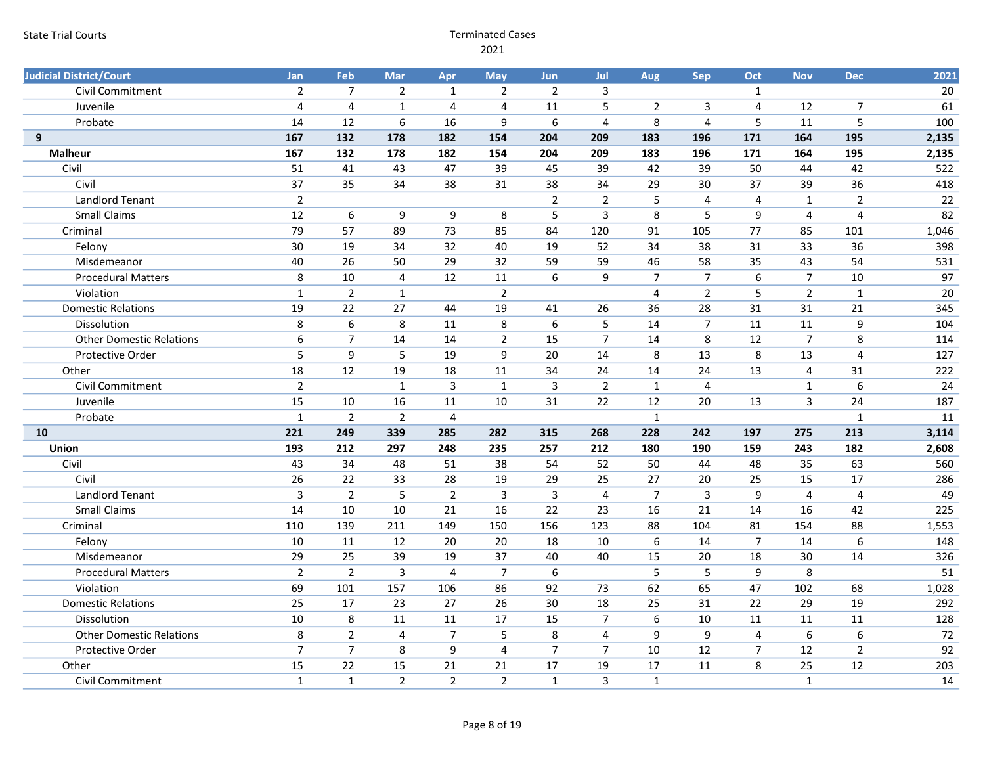| <b>Judicial District/Court</b>  | Jan              | Feb              | Mar            | Apr                     | <b>May</b>     | Jun                     | Jul            | Aug            | <b>Sep</b>              | Oct              | <b>Nov</b>     | <b>Dec</b>              | 2021  |
|---------------------------------|------------------|------------------|----------------|-------------------------|----------------|-------------------------|----------------|----------------|-------------------------|------------------|----------------|-------------------------|-------|
| Civil Commitment                | $\overline{2}$   | $\overline{7}$   | $\overline{2}$ | $\mathbf{1}$            | $\overline{2}$ | $\overline{2}$          | 3              |                |                         | $\mathbf{1}$     |                |                         | 20    |
| Juvenile                        | $\overline{4}$   | $\overline{4}$   | $\mathbf{1}$   | $\overline{4}$          | $\overline{4}$ | 11                      | 5              | $\overline{2}$ | 3                       | $\overline{4}$   | 12             | $\overline{7}$          | 61    |
| Probate                         | 14               | 12               | $6\,$          | 16                      | 9              | 6                       | $\overline{4}$ | 8              | $\overline{\mathbf{4}}$ | 5                | 11             | $\overline{5}$          | 100   |
| 9                               | 167              | 132              | 178            | 182                     | 154            | 204                     | 209            | 183            | 196                     | 171              | 164            | 195                     | 2,135 |
| <b>Malheur</b>                  | 167              | 132              | 178            | 182                     | 154            | 204                     | 209            | 183            | 196                     | 171              | 164            | 195                     | 2,135 |
| Civil                           | 51               | 41               | 43             | 47                      | 39             | 45                      | 39             | 42             | 39                      | 50               | 44             | 42                      | 522   |
| Civil                           | 37               | 35               | 34             | 38                      | 31             | 38                      | 34             | 29             | 30                      | 37               | 39             | 36                      | 418   |
| <b>Landlord Tenant</b>          | $\overline{2}$   |                  |                |                         |                | $\overline{2}$          | $\overline{2}$ | 5              | $\overline{4}$          | 4                | $\mathbf{1}$   | $\overline{2}$          | 22    |
| <b>Small Claims</b>             | $\overline{12}$  | $\sqrt{6}$       | 9              | $\boldsymbol{9}$        | 8              | 5                       | $\overline{3}$ | 8              | 5                       | 9                | $\overline{4}$ | $\overline{4}$          | 82    |
| Criminal                        | 79               | 57               | 89             | 73                      | 85             | 84                      | 120            | 91             | 105                     | 77               | 85             | 101                     | 1,046 |
| Felony                          | 30               | 19               | 34             | 32                      | 40             | 19                      | 52             | 34             | 38                      | 31               | 33             | 36                      | 398   |
| Misdemeanor                     | 40               | 26               | 50             | 29                      | 32             | 59                      | 59             | 46             | 58                      | 35               | 43             | 54                      | 531   |
| <b>Procedural Matters</b>       | 8                | 10               | $\overline{4}$ | 12                      | 11             | 6                       | 9              | $\overline{7}$ | $\overline{7}$          | 6                | $\overline{7}$ | 10                      | 97    |
| Violation                       | $\mathbf{1}$     | $\overline{2}$   | $\mathbf{1}$   |                         | $\overline{2}$ |                         |                | $\overline{4}$ | $\overline{2}$          | 5                | $\overline{2}$ | $\mathbf{1}$            | 20    |
| <b>Domestic Relations</b>       | 19               | 22               | 27             | 44                      | 19             | 41                      | 26             | 36             | 28                      | 31               | 31             | $\overline{21}$         | 345   |
| Dissolution                     | 8                | $6\phantom{1}6$  | 8              | 11                      | 8              | $\boldsymbol{6}$        | 5              | 14             | $\overline{7}$          | 11               | 11             | 9                       | 104   |
| <b>Other Domestic Relations</b> | $\boldsymbol{6}$ | $\overline{7}$   | 14             | 14                      | $\overline{2}$ | 15                      | $\overline{7}$ | 14             | 8                       | 12               | $\overline{7}$ | $\bf 8$                 | 114   |
| Protective Order                | 5                | $\boldsymbol{9}$ | 5              | 19                      | 9              | 20                      | 14             | 8              | 13                      | 8                | 13             | $\overline{4}$          | 127   |
| Other                           | 18               | 12               | 19             | 18                      | 11             | 34                      | 24             | 14             | 24                      | 13               | 4              | 31                      | 222   |
| <b>Civil Commitment</b>         | $\overline{2}$   |                  | $\mathbf{1}$   | $\overline{3}$          | $\mathbf 1$    | $\overline{3}$          | $\overline{2}$ | $\mathbf{1}$   | $\overline{4}$          |                  | $\mathbf{1}$   | $6\overline{6}$         | 24    |
| Juvenile                        | 15               | 10               | 16             | 11                      | 10             | 31                      | 22             | 12             | 20                      | 13               | 3              | 24                      | 187   |
| Probate                         | $\mathbf 1$      | $\overline{2}$   | $\overline{2}$ | $\overline{\mathbf{4}}$ |                |                         |                | $\mathbf{1}$   |                         |                  |                | $\mathbf 1$             | 11    |
| 10                              | 221              | 249              | 339            | 285                     | 282            | 315                     | 268            | 228            | 242                     | 197              | 275            | 213                     | 3,114 |
| Union                           | 193              | 212              | 297            | 248                     | 235            | 257                     | 212            | 180            | 190                     | 159              | 243            | 182                     | 2,608 |
| Civil                           | 43               | 34               | 48             | 51                      | 38             | 54                      | 52             | 50             | 44                      | 48               | 35             | 63                      | 560   |
| Civil                           | 26               | 22               | 33             | 28                      | 19             | 29                      | 25             | 27             | 20                      | 25               | 15             | 17                      | 286   |
| <b>Landlord Tenant</b>          | $\overline{3}$   | $\overline{2}$   | 5              | $\overline{2}$          | $\overline{3}$ | $\overline{\mathbf{3}}$ | $\overline{4}$ | $\overline{7}$ | $\overline{3}$          | 9                | $\overline{4}$ | $\overline{\mathbf{4}}$ | 49    |
| <b>Small Claims</b>             | 14               | 10               | 10             | 21                      | 16             | 22                      | 23             | 16             | $\overline{21}$         | 14               | 16             | 42                      | 225   |
| Criminal                        | 110              | 139              | 211            | 149                     | 150            | 156                     | 123            | 88             | 104                     | 81               | 154            | 88                      | 1,553 |
| Felony                          | 10               | 11               | 12             | 20                      | 20             | 18                      | 10             | $6\phantom{1}$ | 14                      | $\overline{7}$   | 14             | 6                       | 148   |
| Misdemeanor                     | 29               | 25               | 39             | 19                      | 37             | 40                      | 40             | 15             | 20                      | 18               | 30             | 14                      | 326   |
| <b>Procedural Matters</b>       | $\overline{2}$   | $\overline{2}$   | $\overline{3}$ | $\overline{\mathbf{4}}$ | $\overline{7}$ | $6\,$                   |                | 5              | 5                       | 9                | 8              |                         | 51    |
| Violation                       | 69               | 101              | 157            | 106                     | 86             | 92                      | 73             | 62             | 65                      | 47               | 102            | 68                      | 1,028 |
| <b>Domestic Relations</b>       | 25               | 17               | 23             | 27                      | 26             | 30                      | 18             | 25             | 31                      | 22               | 29             | 19                      | 292   |
| Dissolution                     | 10               | 8                | 11             | 11                      | 17             | 15                      | $\overline{7}$ | $6\phantom{1}$ | 10                      | 11               | 11             | 11                      | 128   |
| <b>Other Domestic Relations</b> | 8                | $\overline{2}$   | $\overline{4}$ | $\overline{7}$          | 5              | 8                       | $\overline{4}$ | 9              | 9                       | $\overline{4}$   | 6              | $\boldsymbol{6}$        | 72    |
| Protective Order                | $\overline{7}$   | $\overline{7}$   | 8              | 9                       | $\overline{4}$ | $\overline{7}$          | $\overline{7}$ | 10             | 12                      | $\boldsymbol{7}$ | 12             | $\overline{2}$          | 92    |
| Other                           | 15               | 22               | 15             | 21                      | 21             | 17                      | 19             | 17             | 11                      | 8                | 25             | 12                      | 203   |
| <b>Civil Commitment</b>         | $\mathbf{1}$     | $\mathbf{1}$     | $\overline{2}$ | $\overline{2}$          | $\overline{2}$ | $\mathbf{1}$            | $\overline{3}$ | $\mathbf{1}$   |                         |                  | $\mathbf{1}$   |                         | 14    |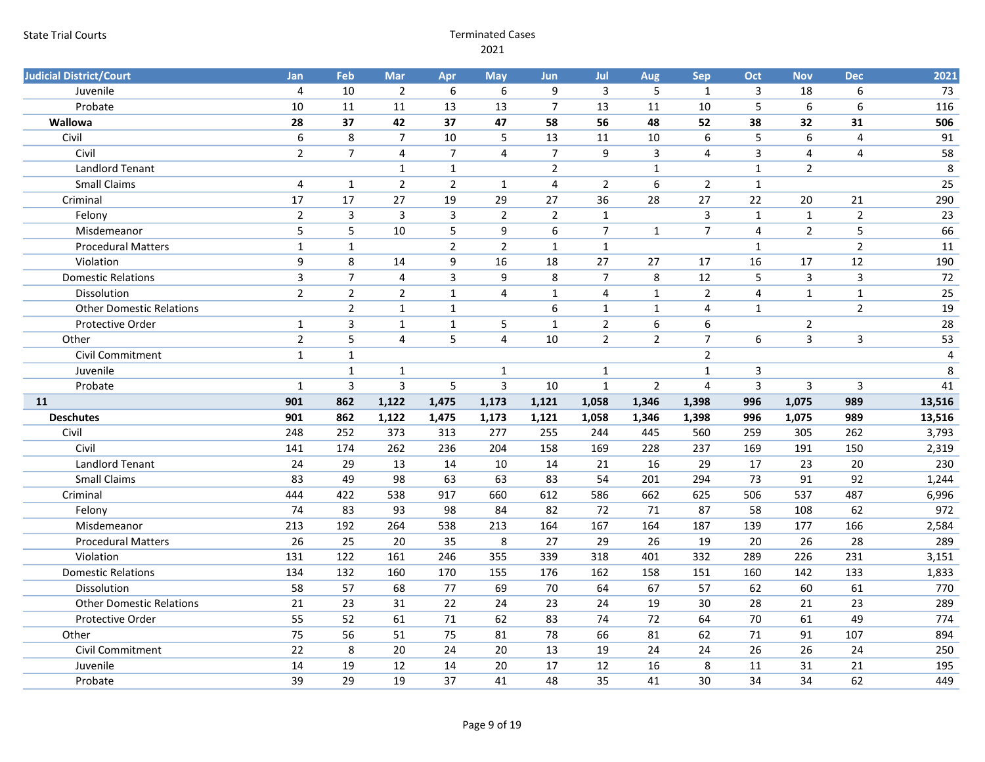| <b>Judicial District/Court</b>  | <b>Jan</b>       | Feb                     | Mar            | Apr            | <b>May</b>     | <b>Jun</b>       | Jul            | Aug             | <b>Sep</b>     | Oct            | <b>Nov</b>       | <b>Dec</b>     | 2021   |
|---------------------------------|------------------|-------------------------|----------------|----------------|----------------|------------------|----------------|-----------------|----------------|----------------|------------------|----------------|--------|
| Juvenile                        | 4                | 10                      | $\overline{2}$ | 6              | 6              | 9                | 3              | 5               | $\mathbf{1}$   | $\mathbf{3}$   | 18               | 6              | 73     |
| Probate                         | 10               | 11                      | 11             | 13             | 13             | $\overline{7}$   | 13             | 11              | 10             | 5              | $6\overline{6}$  | 6              | 116    |
| Wallowa                         | 28               | 37                      | 42             | 37             | 47             | 58               | 56             | 48              | 52             | 38             | 32               | 31             | 506    |
| Civil                           | $\boldsymbol{6}$ | $\,8\,$                 | $\overline{7}$ | 10             | 5              | 13               | $11\,$         | $10\,$          | 6              | 5              | $\boldsymbol{6}$ | $\overline{4}$ | 91     |
| Civil                           | $\overline{2}$   | $\overline{7}$          | 4              | $\overline{7}$ | $\overline{4}$ | $\overline{7}$   | 9              | 3               | $\overline{4}$ | 3              | $\overline{4}$   | $\overline{4}$ | 58     |
| Landlord Tenant                 |                  |                         | $\mathbf{1}$   | $\mathbf{1}$   |                | $\overline{2}$   |                | $\mathbf{1}$    |                | $\mathbf{1}$   | $\overline{2}$   |                | 8      |
| <b>Small Claims</b>             | $\overline{4}$   | $\mathbf{1}$            | $\overline{2}$ | $\overline{2}$ | $\mathbf{1}$   | $\overline{4}$   | $\overline{2}$ | 6               | $\overline{2}$ | $\mathbf{1}$   |                  |                | 25     |
| Criminal                        | 17               | 17                      | 27             | 19             | 29             | 27               | 36             | $\overline{28}$ | 27             | 22             | 20               | 21             | 290    |
| Felony                          | $\overline{2}$   | $\overline{\mathbf{3}}$ | $\mathbf{3}$   | $\mathbf{3}$   | $\overline{2}$ | $\overline{2}$   | $\mathbf 1$    |                 | $\mathbf{3}$   | $\mathbf 1$    | $\mathbf 1$      | $\overline{2}$ | 23     |
| Misdemeanor                     | 5                | 5                       | 10             | 5              | 9              | $\boldsymbol{6}$ | $\overline{7}$ | $\mathbf{1}$    | $\overline{7}$ | $\overline{4}$ | $\overline{2}$   | 5              | 66     |
| <b>Procedural Matters</b>       | $\mathbf{1}$     | $\mathbf{1}$            |                | $\overline{2}$ | $\overline{2}$ | $\mathbf{1}$     | $\mathbf{1}$   |                 |                | $\mathbf{1}$   |                  | $\overline{2}$ | 11     |
| Violation                       | 9                | 8                       | 14             | 9              | 16             | 18               | 27             | 27              | 17             | 16             | 17               | 12             | 190    |
| <b>Domestic Relations</b>       | $\mathsf{3}$     | $\overline{7}$          | 4              | 3              | 9              | 8                | $\overline{7}$ | 8               | 12             | 5              | $\overline{3}$   | $\mathbf{3}$   | 72     |
| Dissolution                     | $\overline{2}$   | $\overline{2}$          | $\overline{2}$ | $\mathbf{1}$   | $\overline{4}$ | $\mathbf 1$      | $\overline{4}$ | $\mathbf 1$     | $\overline{2}$ | $\overline{4}$ | $\mathbf{1}$     | $\mathbf 1$    | 25     |
| <b>Other Domestic Relations</b> |                  | $\overline{2}$          | $\mathbf{1}$   | $\mathbf{1}$   |                | 6                | $\mathbf{1}$   | $\mathbf{1}$    | $\overline{4}$ | $\mathbf{1}$   |                  | $\overline{2}$ | 19     |
| Protective Order                | $\mathbf{1}$     | $\mathsf{3}$            | $\mathbf 1$    | $\mathbf 1$    | 5              | $\mathbf{1}$     | $\overline{2}$ | 6               | 6              |                | $\overline{2}$   |                | 28     |
| Other                           | $\overline{2}$   | 5                       | $\overline{4}$ | 5              | $\overline{4}$ | 10               | $\overline{2}$ | $\overline{2}$  | $\overline{7}$ | 6              | $\overline{3}$   | $\mathbf{3}$   | 53     |
| <b>Civil Commitment</b>         | $\mathbf{1}$     | $\mathbf{1}$            |                |                |                |                  |                |                 | $\overline{2}$ |                |                  |                | 4      |
| Juvenile                        |                  | $\mathbf{1}$            | 1              |                | $\mathbf{1}$   |                  | $\mathbf{1}$   |                 | $\mathbf 1$    | 3              |                  |                | 8      |
| Probate                         | $\mathbf{1}$     | $\overline{3}$          | $\overline{3}$ | 5              | $\mathbf{3}$   | 10               | $\mathbf{1}$   | $\overline{2}$  | $\overline{4}$ | $\overline{3}$ | $\overline{3}$   | $\overline{3}$ | 41     |
| 11                              | 901              | 862                     | 1,122          | 1,475          | 1,173          | 1,121            | 1,058          | 1,346           | 1,398          | 996            | 1,075            | 989            | 13,516 |
| <b>Deschutes</b>                | 901              | 862                     | 1,122          | 1,475          | 1,173          | 1,121            | 1,058          | 1,346           | 1,398          | 996            | 1,075            | 989            | 13,516 |
| Civil                           | 248              | 252                     | 373            | 313            | 277            | 255              | 244            | 445             | 560            | 259            | 305              | 262            | 3,793  |
| Civil                           | 141              | 174                     | 262            | 236            | 204            | 158              | 169            | 228             | 237            | 169            | 191              | 150            | 2,319  |
| <b>Landlord Tenant</b>          | 24               | 29                      | 13             | 14             | 10             | 14               | 21             | 16              | 29             | 17             | 23               | 20             | 230    |
| <b>Small Claims</b>             | 83               | 49                      | 98             | 63             | 63             | 83               | 54             | 201             | 294            | 73             | 91               | 92             | 1,244  |
| Criminal                        | 444              | 422                     | 538            | 917            | 660            | 612              | 586            | 662             | 625            | 506            | 537              | 487            | 6,996  |
| Felony                          | 74               | 83                      | 93             | 98             | 84             | 82               | 72             | 71              | 87             | 58             | 108              | 62             | 972    |
| Misdemeanor                     | 213              | 192                     | 264            | 538            | 213            | 164              | 167            | 164             | 187            | 139            | 177              | 166            | 2,584  |
| <b>Procedural Matters</b>       | 26               | 25                      | 20             | 35             | 8              | 27               | 29             | 26              | 19             | 20             | 26               | 28             | 289    |
| Violation                       | 131              | 122                     | 161            | 246            | 355            | 339              | 318            | 401             | 332            | 289            | 226              | 231            | 3,151  |
| <b>Domestic Relations</b>       | 134              | 132                     | 160            | 170            | 155            | 176              | 162            | 158             | 151            | 160            | 142              | 133            | 1,833  |
| Dissolution                     | 58               | 57                      | 68             | 77             | 69             | 70               | 64             | 67              | 57             | 62             | 60               | 61             | 770    |
| <b>Other Domestic Relations</b> | 21               | 23                      | 31             | 22             | 24             | 23               | 24             | 19              | 30             | 28             | 21               | 23             | 289    |
| Protective Order                | 55               | 52                      | 61             | 71             | 62             | 83               | 74             | 72              | 64             | 70             | 61               | 49             | 774    |
| Other                           | 75               | 56                      | 51             | 75             | 81             | 78               | 66             | 81              | 62             | 71             | 91               | 107            | 894    |
| <b>Civil Commitment</b>         | 22               | $\,8\,$                 | 20             | 24             | 20             | 13               | 19             | 24              | 24             | 26             | 26               | 24             | 250    |
| Juvenile                        | 14               | 19                      | 12             | 14             | 20             | 17               | 12             | 16              | 8              | 11             | 31               | 21             | 195    |
| Probate                         | 39               | 29                      | 19             | 37             | 41             | 48               | 35             | 41              | 30             | 34             | 34               | 62             | 449    |
|                                 |                  |                         |                |                |                |                  |                |                 |                |                |                  |                |        |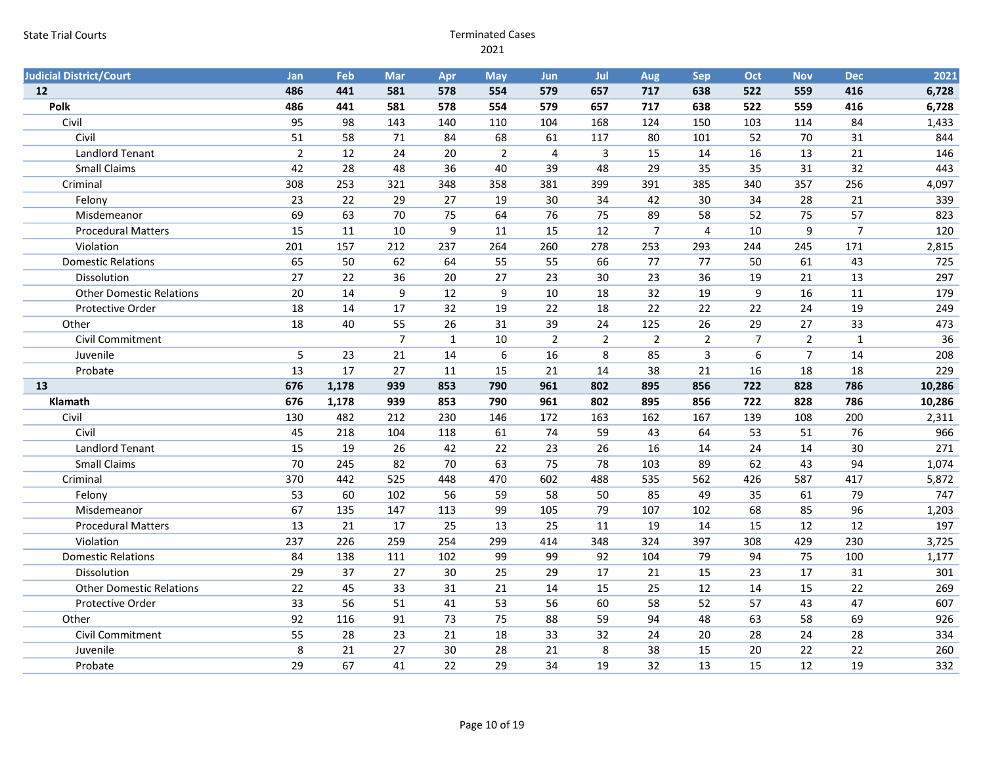| <b>Judicial District/Court</b>  | <b>Jan</b>     | Feb      | Mar            | Apr          | <b>May</b>     | <b>Jun</b>     | Jul            | Aug            | Sep            | Oct            | <b>Nov</b>     | <b>Dec</b>     | 2021       |
|---------------------------------|----------------|----------|----------------|--------------|----------------|----------------|----------------|----------------|----------------|----------------|----------------|----------------|------------|
| 12                              | 486            | 441      | 581            | 578          | 554            | 579            | 657            | 717            | 638            | 522            | 559            | 416            | 6,728      |
| Polk                            | 486            | 441      | 581            | 578          | 554            | 579            | 657            | 717            | 638            | 522            | 559            | 416            | 6,728      |
| Civil                           | 95             | 98       | 143            | 140          | 110            | 104            | 168            | 124            | 150            | 103            | 114            | 84             | 1,433      |
| Civil                           | 51             | 58       | 71             | 84           | 68             | 61             | 117            | 80             | 101            | 52             | 70             | 31             | 844        |
| <b>Landlord Tenant</b>          | $\overline{2}$ | 12       | 24             | 20           | $\overline{2}$ | $\overline{4}$ | 3              | 15             | 14             | 16             | 13             | 21             | 146        |
| <b>Small Claims</b>             | 42             | 28       | 48             | 36           | 40             | 39             | 48             | 29             | 35             | 35             | 31             | 32             | 443        |
| Criminal                        | 308            | 253      | 321            | 348          | 358            | 381            | 399            | 391            | 385            | 340            | 357            | 256            | 4,097      |
| Felony                          | 23             | 22       | 29             | 27           | 19             | 30             | 34             | 42             | 30             | 34             | 28             | 21             | 339        |
| Misdemeanor                     | 69             | 63       | 70             | 75           | 64             | 76             | 75             | 89             | 58             | 52             | 75             | 57             | 823        |
| <b>Procedural Matters</b>       | 15             | 11       | 10             | 9            | 11             | 15             | 12             | $\overline{7}$ | $\overline{4}$ | 10             | 9              | $\overline{7}$ | 120        |
| Violation                       | 201            | 157      | 212            | 237          | 264            | 260            | 278            | 253            | 293            | 244            | 245            | 171            | 2,815      |
| <b>Domestic Relations</b>       | 65             | 50       | 62             | 64           | 55             | 55             | 66             | 77             | 77             | 50             | 61             | 43             | 725        |
| Dissolution                     | 27             | 22       | 36             | 20           | 27             | 23             | 30             | 23             | 36             | 19             | 21             | 13             | 297        |
| <b>Other Domestic Relations</b> | 20             | 14       | 9              | 12           | 9              | 10             | 18             | 32             | 19             | 9              | 16             | 11             | 179        |
| Protective Order                | 18             | 14       | 17             | 32           | 19             | 22             | 18             | 22             | 22             | 22             | 24             | 19             | 249        |
| Other                           | 18             | 40       | 55             | 26           | 31             | 39             | 24             | 125            | 26             | 29             | 27             | 33             | 473        |
| <b>Civil Commitment</b>         |                |          | $\overline{7}$ | $\mathbf{1}$ | 10             | $\overline{2}$ | $\overline{2}$ | $\overline{2}$ | $\overline{2}$ | $\overline{7}$ | $\overline{2}$ | $\mathbf{1}$   | 36         |
| Juvenile                        | 5              | 23       | 21             | 14           | 6              | 16             | 8              | 85             | 3              | 6              | $\overline{7}$ | 14             | 208        |
| Probate                         | 13             | 17       | 27             | 11           | 15             | 21             | 14             | 38             | 21             | 16             | 18             | 18             | 229        |
| 13                              | 676            | 1,178    | 939            | 853          | 790            | 961            | 802            | 895            | 856            | 722            | 828            | 786            | 10,286     |
| Klamath                         | 676            | 1,178    | 939            | 853          | 790            | 961            | 802            | 895            | 856            | 722            | 828            | 786            | 10,286     |
| Civil                           | 130            | 482      | 212            | 230          | 146            | 172            | 163            | 162            | 167            | 139            | 108            | 200            | 2,311      |
| Civil                           | 45             | 218      | 104            | 118          | 61             | 74             | 59             | 43             | 64             | 53             | 51             | 76             | 966        |
| Landlord Tenant                 | 15             | 19       | 26             | 42           | 22             | 23             | 26             | 16             | 14             | 24             | 14             | 30             | 271        |
| <b>Small Claims</b>             | 70             | 245      | 82             | 70           | 63             | 75             | 78             | 103            | 89             | 62             | 43             | 94             | 1,074      |
| Criminal                        | 370            | 442      | 525            | 448          | 470            | 602            | 488            | 535            | 562            | 426            | 587            | 417            | 5,872      |
| Felony                          | 53             | 60       | 102            | 56           | 59             | 58             | 50             | 85             | 49             | 35             | 61             | 79             | 747        |
| Misdemeanor                     | 67             | 135      | 147            | 113          | 99             | 105            | 79             | 107            | 102            | 68             | 85             | 96             | 1,203      |
| <b>Procedural Matters</b>       | 13             | 21       | 17             | 25           | 13             | 25             | 11             | 19             | 14             | 15             | 12             | 12             | 197        |
| Violation                       | 237            | 226      | 259            | 254          | 299            | 414            | 348            | 324            | 397            | 308            | 429            | 230            | 3,725      |
| <b>Domestic Relations</b>       | 84             | 138      | 111            | 102          | 99             | 99             | 92             | 104            | 79             | 94             | 75             | 100            | 1,177      |
| Dissolution                     | 29             | 37       | 27             | 30           | 25             | 29             | 17             | 21             | 15             | 23             | 17             | 31             | 301        |
|                                 |                |          |                |              | 21             | 14             | 15             | 25             | 12             | 14             | 15             | 22             | 269        |
| <b>Other Domestic Relations</b> | 22             | 45       | 33             | 31           |                |                |                |                |                |                |                |                |            |
| Protective Order                | 33             | 56       | 51             | 41           | 53             | 56             | 60             | 58             | 52             | 57             | 43             | 47             | 607        |
| Other                           | 92             | 116      | 91             | 73           | 75             | 88             | 59             | 94             | 48             | 63             | 58             | 69             | 926        |
| Civil Commitment                | 55             | 28       | 23             | 21           | 18             | 33             | 32             | 24             | 20             | 28             | 24             | 28             | 334        |
| Juvenile<br>Probate             | 8<br>29        | 21<br>67 | 27<br>41       | 30<br>22     | 28<br>29       | 21<br>34       | 8<br>19        | 38<br>32       | 15<br>13       | 20<br>15       | 22<br>12       | 22<br>19       | 260<br>332 |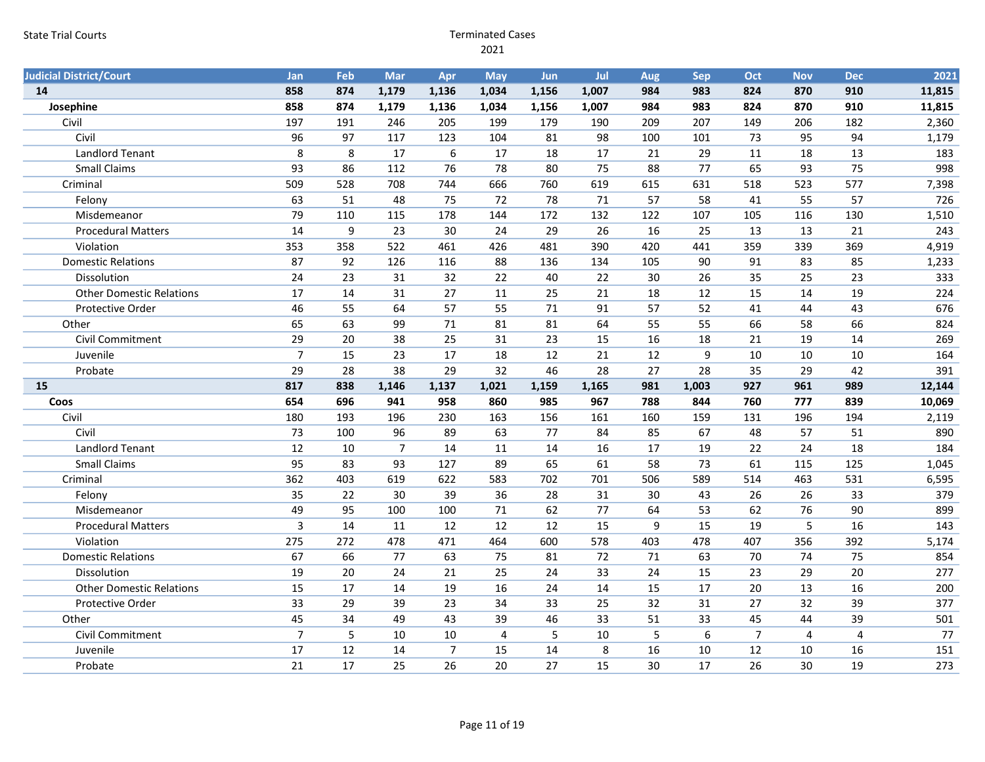| <b>Judicial District/Court</b>  | <b>Jan</b>     | Feb   | Mar            | Apr             | <b>May</b>      | <b>Jun</b> | Jul             | Aug | Sep   | Oct            | <b>Nov</b>     | <b>Dec</b>     | 2021   |
|---------------------------------|----------------|-------|----------------|-----------------|-----------------|------------|-----------------|-----|-------|----------------|----------------|----------------|--------|
| 14                              | 858            | 874   | 1,179          | 1,136           | 1,034           | 1,156      | 1,007           | 984 | 983   | 824            | 870            | 910            | 11,815 |
| Josephine                       | 858            | 874   | 1,179          | 1,136           | 1,034           | 1,156      | 1,007           | 984 | 983   | 824            | 870            | 910            | 11,815 |
| Civil                           | 197            | 191   | 246            | 205             | 199             | 179        | 190             | 209 | 207   | 149            | 206            | 182            | 2,360  |
| Civil                           | 96             | 97    | 117            | 123             | 104             | 81         | 98              | 100 | 101   | 73             | 95             | 94             | 1,179  |
| <b>Landlord Tenant</b>          | 8              | 8     | 17             | 6               | 17              | 18         | 17              | 21  | 29    | 11             | 18             | 13             | 183    |
| <b>Small Claims</b>             | 93             | 86    | 112            | 76              | 78              | 80         | 75              | 88  | 77    | 65             | 93             | 75             | 998    |
| Criminal                        | 509            | 528   | 708            | 744             | 666             | 760        | 619             | 615 | 631   | 518            | 523            | 577            | 7,398  |
| Felony                          | 63             | 51    | 48             | 75              | 72              | 78         | 71              | 57  | 58    | 41             | 55             | 57             | 726    |
| Misdemeanor                     | 79             | 110   | 115            | 178             | 144             | 172        | 132             | 122 | 107   | 105            | 116            | 130            | 1,510  |
| <b>Procedural Matters</b>       | 14             | $9\,$ | 23             | 30              | 24              | 29         | 26              | 16  | 25    | 13             | 13             | 21             | 243    |
| Violation                       | 353            | 358   | 522            | 461             | 426             | 481        | 390             | 420 | 441   | 359            | 339            | 369            | 4,919  |
| <b>Domestic Relations</b>       | 87             | 92    | 126            | 116             | 88              | 136        | 134             | 105 | 90    | 91             | 83             | 85             | 1,233  |
| Dissolution                     | 24             | 23    | 31             | 32              | 22              | 40         | 22              | 30  | 26    | 35             | 25             | 23             | 333    |
| <b>Other Domestic Relations</b> | 17             | 14    | 31             | $\overline{27}$ | 11              | 25         | 21              | 18  | 12    | 15             | 14             | 19             | 224    |
| Protective Order                | 46             | 55    | 64             | 57              | 55              | 71         | 91              | 57  | 52    | 41             | 44             | 43             | 676    |
| Other                           | 65             | 63    | 99             | 71              | 81              | 81         | 64              | 55  | 55    | 66             | 58             | 66             | 824    |
| <b>Civil Commitment</b>         | 29             | 20    | 38             | 25              | 31              | 23         | 15              | 16  | 18    | 21             | 19             | 14             | 269    |
| Juvenile                        | $\overline{7}$ | 15    | 23             | 17              | 18              | 12         | 21              | 12  | 9     | 10             | 10             | 10             | 164    |
| Probate                         | 29             | 28    | 38             | 29              | $\overline{32}$ | 46         | $\overline{28}$ | 27  | 28    | 35             | 29             | 42             | 391    |
| 15                              | 817            | 838   | 1,146          | 1,137           | 1,021           | 1,159      | 1,165           | 981 | 1,003 | 927            | 961            | 989            | 12,144 |
|                                 |                |       |                |                 |                 |            |                 |     |       |                |                |                |        |
| Coos                            | 654            | 696   | 941            | 958             | 860             | 985        | 967             | 788 | 844   | 760            | 777            | 839            | 10,069 |
| Civil                           | 180            | 193   | 196            | 230             | 163             | 156        | 161             | 160 | 159   | 131            | 196            | 194            | 2,119  |
| Civil                           | 73             | 100   | 96             | 89              | 63              | 77         | 84              | 85  | 67    | 48             | 57             | 51             | 890    |
| Landlord Tenant                 | 12             | 10    | $\overline{7}$ | 14              | 11              | 14         | 16              | 17  | 19    | 22             | 24             | 18             | 184    |
| <b>Small Claims</b>             | 95             | 83    | 93             | 127             | 89              | 65         | 61              | 58  | 73    | 61             | 115            | 125            | 1,045  |
| Criminal                        | 362            | 403   | 619            | 622             | 583             | 702        | 701             | 506 | 589   | 514            | 463            | 531            | 6,595  |
| Felony                          | 35             | 22    | 30             | 39              | 36              | 28         | 31              | 30  | 43    | 26             | 26             | 33             | 379    |
| Misdemeanor                     | 49             | 95    | 100            | 100             | 71              | 62         | 77              | 64  | 53    | 62             | 76             | 90             | 899    |
| <b>Procedural Matters</b>       | $\overline{3}$ | 14    | 11             | 12              | 12              | 12         | 15              | 9   | 15    | 19             | 5              | 16             | 143    |
| Violation                       | 275            | 272   | 478            | 471             | 464             | 600        | 578             | 403 | 478   | 407            | 356            | 392            | 5,174  |
| <b>Domestic Relations</b>       | 67             | 66    | 77             | 63              | 75              | 81         | 72              | 71  | 63    | 70             | 74             | 75             | 854    |
| Dissolution                     | 19             | 20    | 24             | 21              | 25              | 24         | 33              | 24  | 15    | 23             | 29             | 20             | 277    |
| <b>Other Domestic Relations</b> | 15             | 17    | 14             | 19              | 16              | 24         | 14              | 15  | 17    | 20             | 13             | 16             | 200    |
| Protective Order                | 33             | 29    | 39             | 23              | 34              | 33         | 25              | 32  | 31    | 27             | 32             | 39             | 377    |
| Other                           | 45             | 34    | 49             | 43              | 39              | 46         | 33              | 51  | 33    | 45             | 44             | 39             | 501    |
| Civil Commitment                | $\overline{7}$ | 5     | 10             | 10              | $\overline{4}$  | 5          | 10              | 5   | 6     | $\overline{7}$ | $\overline{4}$ | $\overline{4}$ | 77     |
| Juvenile                        | 17             | 12    | 14             | $\overline{7}$  | 15              | 14         | $\,8\,$         | 16  | 10    | 12             | 10             | 16             | 151    |
| Probate                         | 21             | 17    | 25             | 26              | 20              | 27         | 15              | 30  | 17    | 26             | 30             | 19             | 273    |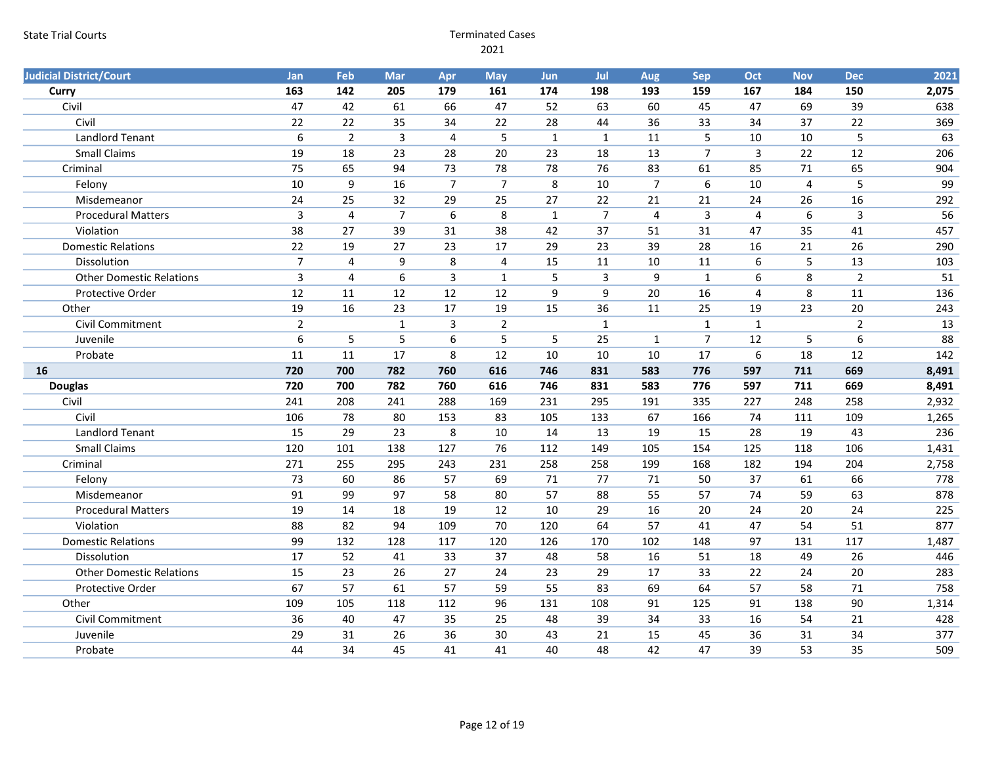| <b>Judicial District/Court</b>  | Jan            | Feb                     | Mar            | Apr              | <b>May</b>              | Jun             | Jul              | Aug            | Sep              | Oct              | <b>Nov</b>     | <b>Dec</b>     | 2021  |
|---------------------------------|----------------|-------------------------|----------------|------------------|-------------------------|-----------------|------------------|----------------|------------------|------------------|----------------|----------------|-------|
| Curry                           | 163            | 142                     | 205            | 179              | 161                     | 174             | 198              | 193            | 159              | 167              | 184            | 150            | 2,075 |
| Civil                           | 47             | 42                      | 61             | 66               | 47                      | 52              | 63               | 60             | 45               | 47               | 69             | 39             | 638   |
| Civil                           | 22             | 22                      | 35             | 34               | 22                      | 28              | 44               | 36             | 33               | 34               | 37             | 22             | 369   |
| <b>Landlord Tenant</b>          | 6              | $\overline{2}$          | 3              | 4                | 5                       | $\mathbf{1}$    | $\mathbf{1}$     | 11             | 5                | 10               | 10             | 5              | 63    |
| <b>Small Claims</b>             | 19             | 18                      | 23             | 28               | 20                      | 23              | 18               | 13             | $\overline{7}$   | $\overline{3}$   | 22             | 12             | 206   |
| Criminal                        | 75             | 65                      | 94             | 73               | 78                      | 78              | 76               | 83             | 61               | 85               | 71             | 65             | 904   |
| Felony                          | 10             | $\boldsymbol{9}$        | 16             | $\overline{7}$   | $\overline{7}$          | 8               | 10               | $\overline{7}$ | $\boldsymbol{6}$ | 10               | $\overline{4}$ | 5              | 99    |
| Misdemeanor                     | 24             | 25                      | 32             | 29               | 25                      | $\overline{27}$ | 22               | 21             | 21               | 24               | 26             | 16             | 292   |
| <b>Procedural Matters</b>       | $\overline{3}$ | 4                       | $\overline{7}$ | $\boldsymbol{6}$ | 8                       | $\mathbf{1}$    | $\overline{7}$   | 4              | $\overline{3}$   | 4                | 6              | $\mathsf{3}$   | 56    |
| Violation                       | 38             | 27                      | 39             | 31               | 38                      | 42              | 37               | 51             | 31               | 47               | 35             | 41             | 457   |
| <b>Domestic Relations</b>       | 22             | 19                      | 27             | 23               | 17                      | 29              | 23               | 39             | 28               | 16               | 21             | 26             | 290   |
| Dissolution                     | $\overline{7}$ | $\overline{\mathbf{4}}$ | 9              | 8                | $\overline{\mathbf{4}}$ | 15              | 11               | $10\,$         | 11               | $\boldsymbol{6}$ | 5              | 13             | 103   |
| <b>Other Domestic Relations</b> | $\overline{3}$ | 4                       | 6              | 3                | $\mathbf{1}$            | 5               | $\overline{3}$   | 9              | $\mathbf{1}$     | 6                | 8              | $\overline{2}$ | 51    |
| Protective Order                | 12             | 11                      | 12             | 12               | 12                      | 9               | $\boldsymbol{9}$ | 20             | 16               | $\overline{4}$   | 8              | 11             | 136   |
| Other                           | 19             | 16                      | 23             | 17               | 19                      | 15              | 36               | 11             | 25               | 19               | 23             | 20             | 243   |
| Civil Commitment                | $\overline{2}$ |                         | $\mathbf{1}$   | 3                | $\overline{2}$          |                 | $\mathbf{1}$     |                | $\mathbf{1}$     | $\mathbf{1}$     |                | $\overline{2}$ | 13    |
| Juvenile                        | 6              | 5                       | 5              | 6                | 5                       | 5               | 25               | $\mathbf{1}$   | $\overline{7}$   | 12               | 5              | $6\,$          | 88    |
| Probate                         | 11             | 11                      | 17             | 8                | 12                      | 10              | 10               | 10             | 17               | $\boldsymbol{6}$ | 18             | 12             | 142   |
| 16                              | 720            | 700                     | 782            | 760              | 616                     | 746             | 831              | 583            | 776              | 597              | 711            | 669            | 8,491 |
| <b>Douglas</b>                  | 720            | 700                     | 782            | 760              | 616                     | 746             | 831              | 583            | 776              | 597              | 711            | 669            | 8,491 |
| Civil                           | 241            | 208                     | 241            | 288              | 169                     | 231             | 295              | 191            | 335              | 227              | 248            | 258            | 2,932 |
| Civil                           | 106            | 78                      | 80             | 153              | 83                      | 105             | 133              | 67             | 166              | 74               | 111            | 109            | 1,265 |
| <b>Landlord Tenant</b>          | 15             | 29                      | 23             | 8                | 10                      | 14              | 13               | 19             | 15               | 28               | 19             | 43             | 236   |
| <b>Small Claims</b>             | 120            | 101                     | 138            | 127              | 76                      | 112             | 149              | 105            | 154              | 125              | 118            | 106            | 1,431 |
| Criminal                        | 271            | 255                     | 295            | 243              | 231                     | 258             | 258              | 199            | 168              | 182              | 194            | 204            | 2,758 |
| Felony                          | 73             | 60                      | 86             | 57               | 69                      | 71              | 77               | 71             | 50               | 37               | 61             | 66             | 778   |
| Misdemeanor                     | 91             | 99                      | 97             | 58               | 80                      | 57              | 88               | 55             | 57               | 74               | 59             | 63             | 878   |
| <b>Procedural Matters</b>       | 19             | 14                      | 18             | 19               | 12                      | 10              | 29               | 16             | 20               | 24               | 20             | 24             | 225   |
| Violation                       | 88             | 82                      | 94             | 109              | 70                      | 120             | 64               | 57             | 41               | 47               | 54             | 51             | 877   |
| <b>Domestic Relations</b>       | 99             | 132                     | 128            | 117              | 120                     | 126             | 170              | 102            | 148              | 97               | 131            | 117            | 1,487 |
| Dissolution                     | 17             | 52                      | 41             | 33               | 37                      | 48              | 58               | 16             | 51               | 18               | 49             | 26             | 446   |
| <b>Other Domestic Relations</b> | 15             | 23                      | 26             | 27               | 24                      | 23              | 29               | 17             | 33               | 22               | 24             | 20             | 283   |
| Protective Order                | 67             | 57                      | 61             | 57               | 59                      | 55              | 83               | 69             | 64               | 57               | 58             | 71             | 758   |
| Other                           | 109            | 105                     | 118            | 112              | 96                      | 131             | 108              | 91             | 125              | 91               | 138            | 90             | 1,314 |
|                                 |                |                         |                |                  |                         |                 |                  |                |                  |                  |                |                |       |
| Civil Commitment                | 36             | 40                      | 47             | 35               | 25                      | 48              | 39               | 34             | 33               | 16               | 54             | 21             | 428   |
| Juvenile                        | 29             | 31                      | 26             | 36               | 30                      | 43              | 21               | 15             | 45               | 36               | 31             | 34             | 377   |
| Probate                         | 44             | 34                      | 45             | 41               | 41                      | 40              | 48               | 42             | 47               | 39               | 53             | 35             | 509   |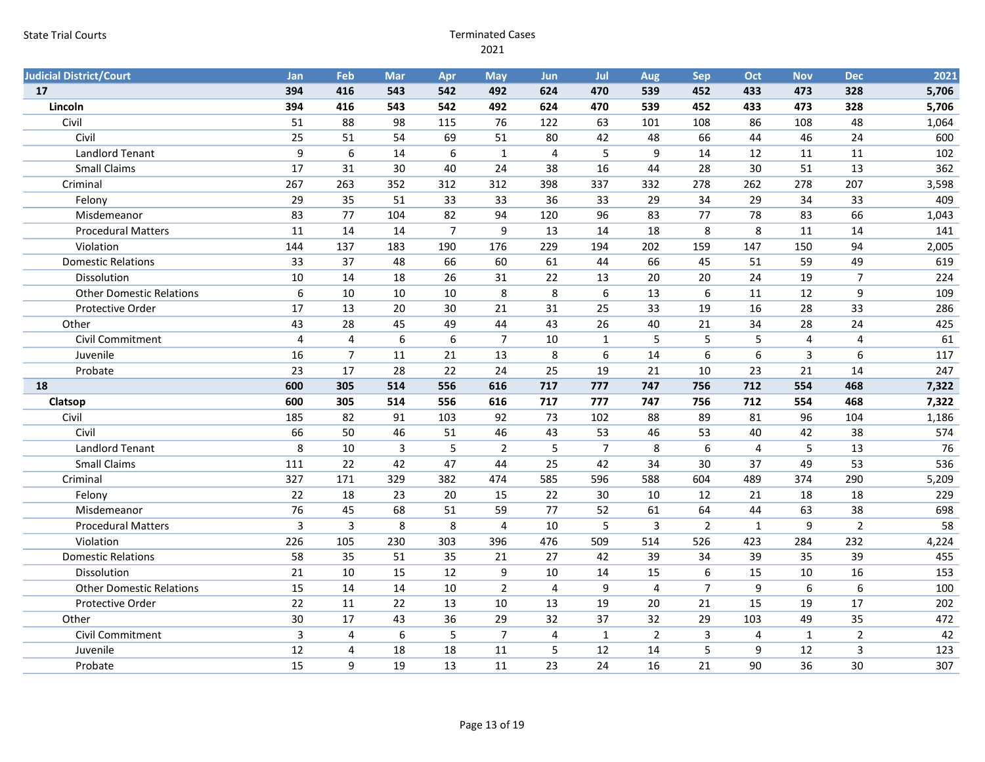| <b>Judicial District/Court</b>  | <b>Jan</b>     | Feb                     | Mar          | Apr            | <b>May</b>     | <b>Jun</b>     | Jul              | Aug            | Sep              | Oct            | <b>Nov</b>     | <b>Dec</b>           | 2021       |
|---------------------------------|----------------|-------------------------|--------------|----------------|----------------|----------------|------------------|----------------|------------------|----------------|----------------|----------------------|------------|
| 17                              | 394            | 416                     | 543          | 542            | 492            | 624            | 470              | 539            | 452              | 433            | 473            | 328                  | 5,706      |
| Lincoln                         | 394            | 416                     | 543          | 542            | 492            | 624            | 470              | 539            | 452              | 433            | 473            | 328                  | 5,706      |
| Civil                           | 51             | 88                      | 98           | 115            | 76             | 122            | 63               | 101            | 108              | 86             | 108            | 48                   | 1,064      |
| Civil                           | 25             | 51                      | 54           | 69             | 51             | 80             | 42               | 48             | 66               | 44             | 46             | 24                   | 600        |
| <b>Landlord Tenant</b>          | 9              | $6\phantom{1}$          | 14           | 6              | $\mathbf{1}$   | $\overline{4}$ | 5                | 9              | 14               | 12             | 11             | 11                   | 102        |
| <b>Small Claims</b>             | 17             | 31                      | 30           | 40             | 24             | 38             | 16               | 44             | 28               | 30             | 51             | 13                   | 362        |
| Criminal                        | 267            | 263                     | 352          | 312            | 312            | 398            | 337              | 332            | 278              | 262            | 278            | 207                  | 3,598      |
| Felony                          | 29             | 35                      | 51           | 33             | 33             | 36             | 33               | 29             | 34               | 29             | 34             | 33                   | 409        |
| Misdemeanor                     | 83             | 77                      | 104          | 82             | 94             | 120            | 96               | 83             | 77               | 78             | 83             | 66                   | 1,043      |
| <b>Procedural Matters</b>       | 11             | 14                      | 14           | $\overline{7}$ | 9              | 13             | 14               | 18             | 8                | 8              | 11             | 14                   | 141        |
| Violation                       | 144            | 137                     | 183          | 190            | 176            | 229            | 194              | 202            | 159              | 147            | 150            | 94                   | 2,005      |
| <b>Domestic Relations</b>       | 33             | 37                      | 48           | 66             | 60             | 61             | 44               | 66             | 45               | 51             | 59             | 49                   | 619        |
| Dissolution                     | 10             | 14                      | 18           | 26             | 31             | 22             | 13               | 20             | 20               | 24             | 19             | $\overline{7}$       | 224        |
| <b>Other Domestic Relations</b> | 6              | 10                      | 10           | 10             | 8              | 8              | $\boldsymbol{6}$ | 13             | $\boldsymbol{6}$ | 11             | 12             | 9                    | 109        |
| Protective Order                | 17             | 13                      | 20           | 30             | 21             | 31             | 25               | 33             | 19               | 16             | 28             | 33                   | 286        |
| Other                           | 43             | 28                      | 45           | 49             | 44             | 43             | 26               | 40             | 21               | 34             | 28             | 24                   | 425        |
| Civil Commitment                | 4              | $\overline{\mathbf{4}}$ | 6            | 6              | $\overline{7}$ | 10             | $\mathbf{1}$     | 5              | 5                | 5              | $\overline{4}$ | 4                    | 61         |
| Juvenile                        | 16             | $\overline{7}$          | 11           | 21             | 13             | 8              | 6                | 14             | 6                | 6              | 3              | 6                    | 117        |
| Probate                         | 23             | 17                      | 28           | 22             | 24             | 25             | 19               | 21             | 10               | 23             | 21             | 14                   | 247        |
| 18                              | 600            | 305                     | 514          | 556            | 616            | 717            | 777              | 747            | 756              | 712            | 554            | 468                  | 7,322      |
| Clatsop                         | 600            | 305                     | 514          | 556            | 616            | 717            | 777              | 747            | 756              | 712            | 554            | 468                  | 7,322      |
| Civil                           | 185            | 82                      | 91           | 103            | 92             | 73             | 102              | 88             | 89               | 81             | 96             | 104                  | 1,186      |
| Civil                           | 66             | 50                      | 46           | 51             | 46             | 43             | 53               | 46             | 53               | 40             | 42             | 38                   | 574        |
| Landlord Tenant                 | 8              | 10                      | $\mathbf{3}$ | 5              | $\overline{2}$ | 5              | $\overline{7}$   | 8              | $\boldsymbol{6}$ | $\overline{4}$ | 5              | 13                   | 76         |
| <b>Small Claims</b>             | 111            | 22                      | 42           | 47             | 44             | 25             | 42               | 34             | 30               | 37             | 49             | 53                   | 536        |
| Criminal                        | 327            | 171                     | 329          | 382            | 474            | 585            | 596              | 588            | 604              | 489            | 374            | 290                  | 5,209      |
| Felony                          | 22             | 18                      | 23           | 20             | 15             | 22             | 30               | 10             | 12               | 21             | 18             | 18                   | 229        |
| Misdemeanor                     | 76             | 45                      | 68           | 51             | 59             | 77             | 52               | 61             | 64               | 44             | 63             | 38                   | 698        |
| <b>Procedural Matters</b>       | $\overline{3}$ | $\overline{3}$          | 8            | 8              | $\overline{4}$ | 10             | 5                | 3              | $\overline{2}$   | $\mathbf{1}$   | 9              | $\overline{2}$       | 58         |
| Violation                       | 226            | 105                     | 230          | 303            | 396            | 476            | 509              | 514            | 526              | 423            | 284            | 232                  | 4,224      |
| <b>Domestic Relations</b>       | 58             | 35                      | 51           | 35             | 21             | 27             | 42               | 39             | 34               | 39             | 35             | 39                   | 455        |
| Dissolution                     | 21             | 10                      | 15           | 12             | 9              | 10             | 14               | 15             | $6\phantom{1}$   | 15             | 10             | 16                   | 153        |
| <b>Other Domestic Relations</b> |                |                         |              | 10             | $\overline{2}$ | $\overline{4}$ | 9                | $\overline{4}$ | $\overline{7}$   | 9              | 6              | 6                    | 100        |
|                                 | 15             | 14                      | 14           |                |                |                |                  |                |                  |                |                |                      |            |
| Protective Order                | 22             | 11                      | 22           | 13             | 10             | 13             | 19               | 20             | 21               | 15             | 19             | 17                   | 202        |
| Other                           | 30             | 17                      | 43           | 36             | 29             | 32             | 37               | 32             | 29               | 103            | 49             | 35                   | 472        |
| Civil Commitment                | 3              | 4                       | 6            | 5              | $\overline{7}$ | $\overline{4}$ | $\mathbf{1}$     | $\overline{2}$ | $\overline{3}$   | $\overline{4}$ | $\mathbf{1}$   | $\overline{2}$       | 42         |
| Juvenile<br>Probate             | 12<br>15       | 4                       | 18<br>19     | 18<br>13       | 11             | 5<br>23        | 12<br>24         | 14<br>16       | 5<br>21          | 9<br>90        | 12<br>36       | $\overline{3}$<br>30 | 123<br>307 |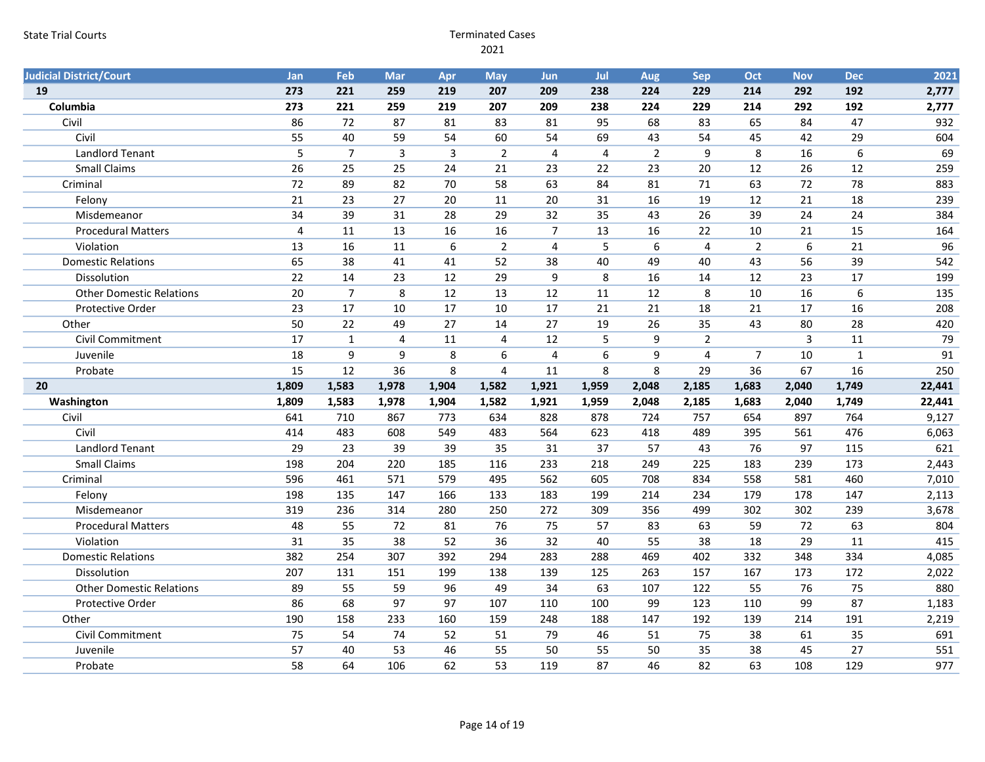| <b>Judicial District/Court</b>  | <b>Jan</b>     | Feb            | Mar                     | Apr            | <b>May</b>     | <b>Jun</b>     | Jul            | Aug              | Sep            | Oct            | <b>Nov</b>       | <b>Dec</b>     | 2021   |
|---------------------------------|----------------|----------------|-------------------------|----------------|----------------|----------------|----------------|------------------|----------------|----------------|------------------|----------------|--------|
| 19                              | 273            | 221            | 259                     | 219            | 207            | 209            | 238            | 224              | 229            | 214            | 292              | 192            | 2,777  |
| Columbia                        | 273            | 221            | 259                     | 219            | 207            | 209            | 238            | 224              | 229            | 214            | 292              | 192            | 2,777  |
| Civil                           | 86             | 72             | 87                      | 81             | 83             | 81             | 95             | 68               | 83             | 65             | 84               | 47             | 932    |
| Civil                           | 55             | 40             | 59                      | 54             | 60             | 54             | 69             | 43               | 54             | 45             | 42               | 29             | 604    |
| <b>Landlord Tenant</b>          | 5              | $\overline{7}$ | $\overline{\mathbf{3}}$ | $\overline{3}$ | $\overline{2}$ | $\overline{4}$ | $\overline{4}$ | $\overline{2}$   | 9              | 8              | 16               | $6\phantom{1}$ | 69     |
| <b>Small Claims</b>             | 26             | 25             | 25                      | 24             | 21             | 23             | 22             | 23               | 20             | 12             | 26               | 12             | 259    |
| Criminal                        | 72             | 89             | 82                      | 70             | 58             | 63             | 84             | 81               | 71             | 63             | 72               | 78             | 883    |
| Felony                          | 21             | 23             | 27                      | 20             | 11             | 20             | 31             | 16               | 19             | 12             | 21               | 18             | 239    |
| Misdemeanor                     | 34             | 39             | 31                      | 28             | 29             | 32             | 35             | 43               | 26             | 39             | 24               | 24             | 384    |
| <b>Procedural Matters</b>       | $\overline{4}$ | 11             | 13                      | 16             | 16             | $\overline{7}$ | 13             | 16               | 22             | 10             | 21               | 15             | 164    |
| Violation                       | 13             | 16             | 11                      | 6              | $\overline{2}$ | $\overline{4}$ | 5              | $\boldsymbol{6}$ | $\overline{4}$ | $\overline{2}$ | $\boldsymbol{6}$ | 21             | 96     |
| <b>Domestic Relations</b>       | 65             | 38             | 41                      | 41             | 52             | 38             | 40             | 49               | 40             | 43             | 56               | 39             | 542    |
| Dissolution                     | 22             | 14             | 23                      | 12             | 29             | 9              | 8              | 16               | 14             | 12             | 23               | 17             | 199    |
| <b>Other Domestic Relations</b> | 20             | $\overline{7}$ | 8                       | 12             | 13             | 12             | 11             | 12               | 8              | 10             | 16               | $6\phantom{1}$ | 135    |
| Protective Order                | 23             | 17             | 10                      | 17             | 10             | 17             | 21             | 21               | 18             | 21             | 17               | 16             | 208    |
| Other                           | 50             | 22             | 49                      | 27             | 14             | 27             | 19             | 26               | 35             | 43             | 80               | 28             | 420    |
| Civil Commitment                | 17             | $\mathbf{1}$   | 4                       | 11             | $\overline{4}$ | 12             | 5              | 9                | $\overline{2}$ |                | $\overline{3}$   | $11\,$         | 79     |
| Juvenile                        | 18             | 9              | 9                       | 8              | 6              | $\overline{4}$ | 6              | 9                | $\overline{4}$ | $\overline{7}$ | 10               | $\mathbf{1}$   | 91     |
| Probate                         | 15             | 12             | 36                      | 8              | $\overline{4}$ | 11             | 8              | 8                | 29             | 36             | 67               | 16             | 250    |
| 20                              | 1,809          | 1,583          | 1,978                   | 1,904          | 1,582          | 1,921          | 1,959          | 2,048            | 2,185          | 1,683          | 2,040            | 1,749          | 22,441 |
| Washington                      | 1,809          | 1,583          | 1,978                   | 1,904          | 1,582          | 1,921          | 1,959          | 2,048            | 2,185          | 1,683          | 2,040            | 1,749          | 22,441 |
| Civil                           | 641            | 710            | 867                     | 773            | 634            | 828            | 878            | 724              | 757            | 654            | 897              | 764            | 9,127  |
| Civil                           | 414            | 483            | 608                     | 549            | 483            | 564            | 623            | 418              | 489            | 395            | 561              | 476            | 6,063  |
| <b>Landlord Tenant</b>          | 29             | 23             | 39                      | 39             | 35             | 31             | 37             | 57               | 43             | 76             | 97               | 115            | 621    |
| <b>Small Claims</b>             | 198            | 204            | 220                     | 185            | 116            | 233            | 218            | 249              | 225            | 183            | 239              | 173            | 2,443  |
| Criminal                        | 596            | 461            | 571                     | 579            | 495            | 562            | 605            | 708              | 834            | 558            | 581              | 460            | 7,010  |
| Felony                          | 198            | 135            | 147                     | 166            | 133            | 183            | 199            | 214              | 234            | 179            | 178              | 147            | 2,113  |
| Misdemeanor                     | 319            | 236            | 314                     | 280            | 250            | 272            | 309            | 356              | 499            | 302            | 302              | 239            | 3,678  |
| <b>Procedural Matters</b>       | 48             | 55             | 72                      | 81             | 76             | 75             | 57             | 83               | 63             | 59             | 72               | 63             | 804    |
| Violation                       | 31             | 35             | 38                      | 52             | 36             | 32             | 40             | 55               | 38             | 18             | 29               | 11             | 415    |
| <b>Domestic Relations</b>       | 382            | 254            | 307                     | 392            | 294            | 283            | 288            | 469              | 402            | 332            | 348              | 334            | 4,085  |
| Dissolution                     | 207            | 131            | 151                     | 199            | 138            | 139            | 125            | 263              | 157            | 167            | 173              | 172            | 2,022  |
| <b>Other Domestic Relations</b> | 89             | 55             | 59                      | 96             | 49             | 34             | 63             | 107              | 122            | 55             | 76               | 75             | 880    |
| Protective Order                | 86             | 68             | 97                      | 97             | 107            | 110            | 100            | 99               | 123            | 110            | 99               | 87             | 1,183  |
|                                 |                |                |                         |                |                |                |                |                  |                |                |                  |                |        |
| Other                           | 190            | 158            | 233                     | 160            | 159            | 248            | 188            | 147              | 192            | 139            | 214              | 191            | 2,219  |
| Civil Commitment                | 75             | 54             | 74                      | 52             | 51             | 79             | 46             | 51               | 75             | 38             | 61               | 35             | 691    |
| Juvenile                        | 57             | 40             | 53                      | 46             | 55             | 50             | 55             | 50               | 35             | 38             | 45               | 27             | 551    |
| Probate                         | 58             | 64             | 106                     | 62             | 53             | 119            | 87             | 46               | 82             | 63             | 108              | 129            | 977    |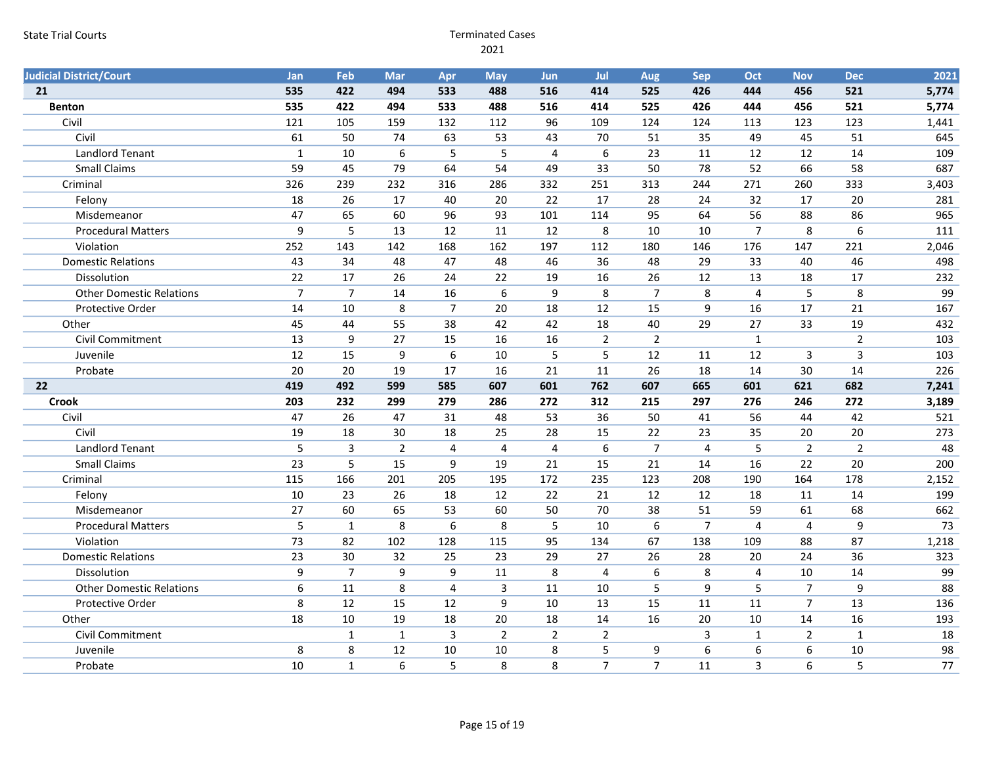| <b>Judicial District/Court</b>  | <b>Jan</b>     | Feb               | Mar              | Apr                     | <b>May</b>              | <b>Jun</b>              | Jul                 | Aug                 | <b>Sep</b>     | Oct                     | <b>Nov</b>     | <b>Dec</b>           | 2021                  |
|---------------------------------|----------------|-------------------|------------------|-------------------------|-------------------------|-------------------------|---------------------|---------------------|----------------|-------------------------|----------------|----------------------|-----------------------|
| 21                              | 535            | 422               | 494              | 533                     | 488                     | 516                     | 414                 | 525                 | 426            | 444                     | 456            | 521                  | 5,774                 |
| <b>Benton</b>                   | 535            | 422               | 494              | 533                     | 488                     | 516                     | 414                 | 525                 | 426            | 444                     | 456            | 521                  | 5,774                 |
| Civil                           | 121            | 105               | 159              | 132                     | 112                     | 96                      | 109                 | 124                 | 124            | 113                     | 123            | 123                  | 1,441                 |
| Civil                           | 61             | 50                | 74               | 63                      | 53                      | 43                      | 70                  | 51                  | 35             | 49                      | 45             | 51                   | 645                   |
| <b>Landlord Tenant</b>          | $\mathbf{1}$   | 10                | $\boldsymbol{6}$ | 5                       | 5                       | $\overline{4}$          | $6\,$               | 23                  | 11             | 12                      | 12             | 14                   | 109                   |
| <b>Small Claims</b>             | 59             | 45                | 79               | 64                      | 54                      | 49                      | 33                  | 50                  | 78             | 52                      | 66             | 58                   | 687                   |
| Criminal                        | 326            | 239               | 232              | 316                     | 286                     | 332                     | 251                 | 313                 | 244            | 271                     | 260            | 333                  | 3,403                 |
| Felony                          | 18             | 26                | 17               | 40                      | 20                      | 22                      | 17                  | 28                  | 24             | 32                      | 17             | 20                   | 281                   |
| Misdemeanor                     | 47             | 65                | 60               | 96                      | 93                      | 101                     | 114                 | 95                  | 64             | 56                      | 88             | 86                   | 965                   |
| <b>Procedural Matters</b>       | 9              | 5                 | 13               | 12                      | 11                      | 12                      | 8                   | 10                  | 10             | $\overline{7}$          | 8              | 6                    | 111                   |
| Violation                       | 252            | 143               | 142              | 168                     | 162                     | 197                     | 112                 | 180                 | 146            | 176                     | 147            | 221                  | 2,046                 |
| <b>Domestic Relations</b>       | 43             | 34                | 48               | 47                      | 48                      | 46                      | 36                  | 48                  | 29             | 33                      | 40             | 46                   | 498                   |
| Dissolution                     | 22             | 17                | 26               | 24                      | 22                      | 19                      | 16                  | 26                  | 12             | 13                      | 18             | 17                   | 232                   |
| <b>Other Domestic Relations</b> | $\overline{7}$ | $\overline{7}$    | 14               | 16                      | $\boldsymbol{6}$        | $\boldsymbol{9}$        | $\bf 8$             | $\overline{7}$      | 8              | $\overline{\mathbf{4}}$ | 5              | 8                    | 99                    |
| Protective Order                | 14             | 10                | 8                | $\overline{7}$          | 20                      | 18                      | 12                  | 15                  | 9              | 16                      | 17             | 21                   | 167                   |
| Other                           | 45             | 44                | 55               | 38                      | 42                      | 42                      | 18                  | 40                  | 29             | 27                      | 33             | 19                   | 432                   |
| Civil Commitment                | 13             | 9                 | 27               | 15                      | 16                      | 16                      | $\overline{2}$      | $\overline{2}$      |                | $\mathbf{1}$            |                | $\overline{2}$       | 103                   |
| Juvenile                        | 12             | 15                | 9                | 6                       | 10                      | 5                       | 5                   | 12                  | 11             | 12                      | 3              | $\overline{3}$       | 103                   |
|                                 |                |                   |                  |                         |                         |                         |                     |                     |                |                         |                |                      |                       |
| Probate                         | 20             | 20                | 19               | 17                      | 16                      | 21                      | 11                  | 26                  | 18             | 14                      | 30             | 14                   | 226                   |
| 22                              | 419            | 492               | 599              | 585                     | 607                     | 601                     | 762                 | 607                 | 665            | 601                     | 621            | 682                  | 7,241                 |
| <b>Crook</b>                    | 203            | 232               | 299              | 279                     | 286                     | 272                     | 312                 | 215                 | 297            | 276                     | 246            | 272                  | 3,189                 |
| Civil                           | 47             | 26                | 47               | 31                      | 48                      | 53                      | 36                  | 50                  | 41             | 56                      | 44             | 42                   | 521                   |
| Civil                           | 19             | 18                | 30               | 18                      | 25                      | 28                      | 15                  | 22                  | 23             | 35                      | 20             | 20                   | 273                   |
| <b>Landlord Tenant</b>          | 5              | 3                 | $\overline{2}$   | $\overline{\mathbf{4}}$ | $\overline{\mathbf{4}}$ | $\overline{\mathbf{4}}$ | $\boldsymbol{6}$    | $\overline{7}$      | $\overline{4}$ | 5                       | $\overline{2}$ | $\overline{2}$       | 48                    |
| <b>Small Claims</b>             | 23             | 5                 | 15               | 9                       | 19                      | 21                      | 15                  | 21                  | 14             | 16                      | 22             | 20                   | 200                   |
| Criminal                        | 115            | 166               | 201              | 205                     | 195                     | 172                     | 235                 | 123                 | 208            | 190                     | 164            | 178                  | 2,152                 |
| Felony                          | 10             | 23                | 26               | 18                      | 12                      | 22                      | 21                  | 12                  | 12             | 18                      | 11             | 14                   | 199                   |
| Misdemeanor                     | 27             | 60                | 65               | 53                      | 60                      | 50                      | 70                  | 38                  | 51             | 59                      | 61             | 68                   | 662                   |
| <b>Procedural Matters</b>       | 5              | $\mathbf{1}$      | 8                | 6                       | 8                       | 5                       | 10                  | 6                   | $\overline{7}$ | $\overline{4}$          | $\overline{4}$ | 9                    | 73                    |
| Violation                       | 73             | 82                | 102              | 128                     | 115                     | 95                      | 134                 | 67                  | 138            | 109                     | 88             | 87                   | 1,218                 |
| <b>Domestic Relations</b>       | 23             | 30                | 32               | 25                      | 23                      | 29                      | 27                  | 26                  | 28             | 20                      | 24             | 36                   | 323                   |
| Dissolution                     | $\overline{9}$ | $\overline{7}$    | 9                | 9                       | 11                      | 8                       | $\overline{4}$      | $\boldsymbol{6}$    | 8              | $\overline{\mathbf{4}}$ | 10             | 14                   | 99                    |
| <b>Other Domestic Relations</b> | 6              | $11\,$            | 8                | $\overline{\mathbf{4}}$ | $\mathsf 3$             | $11\,$                  | $10\,$              | 5                   | 9              | 5                       | $\overline{7}$ | 9                    | 88                    |
| Protective Order                | 8              | 12                | 15               | 12                      | 9                       | 10                      | 13                  | 15                  | 11             | 11                      | $\overline{7}$ | 13                   | 136                   |
| Other                           | 18             | 10                | 19               | 18                      | 20                      | 18                      | 14                  | 16                  | 20             | 10                      | 14             | 16                   | 193                   |
| Civil Commitment                |                | $\mathbf{1}$      | $\mathbf{1}$     | 3                       | $\overline{2}$          | $\overline{2}$          | $\overline{2}$      |                     | 3              | $\mathbf{1}$            | $\overline{2}$ | $\mathbf{1}$         | 18                    |
| Juvenile<br>Probate             | 8<br>10        | 8<br>$\mathbf{1}$ | 12<br>$6\,$      | 10<br>5                 | 10<br>8                 | 8<br>8                  | 5<br>$\overline{7}$ | 9<br>$\overline{7}$ | 6<br>11        | 6<br>$\overline{3}$     | 6<br>6         | 10<br>$\overline{5}$ | 98<br>$\overline{77}$ |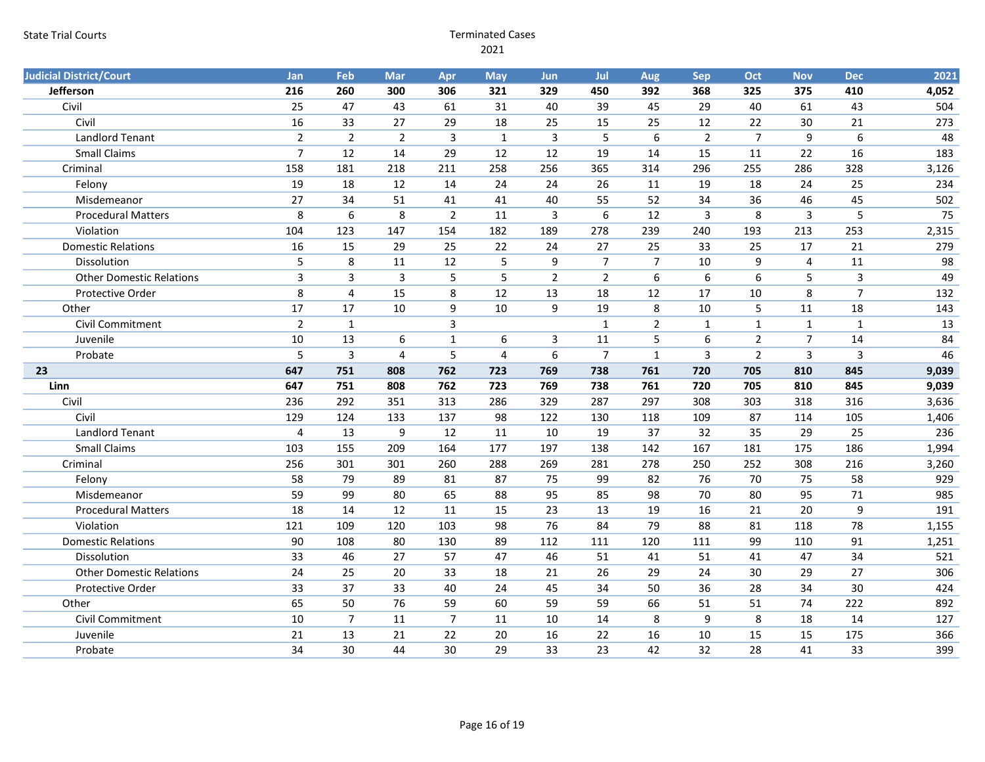| <b>Judicial District/Court</b>  | Jan                     | Feb                     | Mar            | Apr            | <b>May</b>     | <b>Jun</b>              | Jul            | Aug            | Sep                     | Oct            | <b>Nov</b>     | <b>Dec</b>     | 2021  |
|---------------------------------|-------------------------|-------------------------|----------------|----------------|----------------|-------------------------|----------------|----------------|-------------------------|----------------|----------------|----------------|-------|
| Jefferson                       | 216                     | 260                     | 300            | 306            | 321            | 329                     | 450            | 392            | 368                     | 325            | 375            | 410            | 4,052 |
| Civil                           | 25                      | 47                      | 43             | 61             | 31             | 40                      | 39             | 45             | 29                      | 40             | 61             | 43             | 504   |
| Civil                           | 16                      | 33                      | 27             | 29             | 18             | 25                      | 15             | 25             | 12                      | 22             | 30             | 21             | 273   |
| <b>Landlord Tenant</b>          | $\overline{2}$          | $\overline{2}$          | $\overline{2}$ | 3              | $\mathbf{1}$   | 3                       | 5              | 6              | $\overline{2}$          | $\overline{7}$ | 9              | 6              | 48    |
| <b>Small Claims</b>             | $\overline{7}$          | 12                      | 14             | 29             | 12             | 12                      | 19             | 14             | 15                      | 11             | 22             | 16             | 183   |
| Criminal                        | 158                     | 181                     | 218            | 211            | 258            | 256                     | 365            | 314            | 296                     | 255            | 286            | 328            | 3,126 |
| Felony                          | 19                      | 18                      | 12             | 14             | 24             | 24                      | 26             | 11             | 19                      | 18             | 24             | 25             | 234   |
| Misdemeanor                     | 27                      | 34                      | 51             | 41             | 41             | 40                      | 55             | 52             | 34                      | 36             | 46             | 45             | 502   |
| <b>Procedural Matters</b>       | 8                       | $\boldsymbol{6}$        | 8              | $\overline{2}$ | 11             | $\overline{\mathbf{3}}$ | 6              | 12             | $\overline{\mathbf{3}}$ | 8              | $\overline{3}$ | 5              | 75    |
| Violation                       | 104                     | 123                     | 147            | 154            | 182            | 189                     | 278            | 239            | 240                     | 193            | 213            | 253            | 2,315 |
| <b>Domestic Relations</b>       | 16                      | 15                      | 29             | 25             | 22             | 24                      | 27             | 25             | 33                      | 25             | 17             | 21             | 279   |
| Dissolution                     | 5                       | 8                       | 11             | 12             | 5              | 9                       | $\overline{7}$ | $\overline{7}$ | 10                      | 9              | $\overline{4}$ | 11             | 98    |
| <b>Other Domestic Relations</b> | $\overline{3}$          | 3                       | $\mathsf{3}$   | 5              | 5              | $\overline{2}$          | $\overline{2}$ | 6              | 6                       | 6              | 5              | $\overline{3}$ | 49    |
| <b>Protective Order</b>         | 8                       | $\overline{\mathbf{4}}$ | 15             | 8              | 12             | 13                      | 18             | 12             | 17                      | 10             | 8              | $\overline{7}$ | 132   |
| Other                           | 17                      | 17                      | 10             | 9              | 10             | $9\,$                   | 19             | $\bf 8$        | $10\,$                  | 5              | 11             | 18             | 143   |
| Civil Commitment                | $\overline{2}$          | $\mathbf 1$             |                | 3              |                |                         | $\mathbf{1}$   | $\overline{2}$ | $\mathbf{1}$            | $\mathbf{1}$   | $\mathbf{1}$   | $\mathbf 1$    | 13    |
| Juvenile                        | 10                      | 13                      | 6              | $\mathbf{1}$   | 6              | 3                       | 11             | 5              | 6                       | $\overline{2}$ | $\overline{7}$ | 14             | 84    |
| Probate                         | 5                       | 3                       | 4              | 5              | $\overline{4}$ | 6                       | $\overline{7}$ | $\mathbf{1}$   | 3                       | $\overline{2}$ | $\mathbf{3}$   | $\overline{3}$ | 46    |
| 23                              | 647                     | 751                     | 808            | 762            | 723            | 769                     | 738            | 761            | 720                     | 705            | 810            | 845            | 9,039 |
| Linn                            | 647                     | 751                     | 808            | 762            | 723            | 769                     | 738            | 761            | 720                     | 705            | 810            | 845            | 9,039 |
| Civil                           | 236                     | 292                     | 351            | 313            | 286            | 329                     | 287            | 297            | 308                     | 303            | 318            | 316            | 3,636 |
| Civil                           | 129                     | 124                     | 133            | 137            | 98             | 122                     | 130            | 118            | 109                     | 87             | 114            | 105            | 1,406 |
| <b>Landlord Tenant</b>          | $\overline{\mathbf{4}}$ | 13                      | 9              | 12             | 11             | 10                      | 19             | 37             | 32                      | 35             | 29             | 25             | 236   |
| <b>Small Claims</b>             | 103                     | 155                     | 209            | 164            | 177            | 197                     | 138            | 142            | 167                     | 181            | 175            | 186            | 1,994 |
| Criminal                        | 256                     | 301                     | 301            | 260            | 288            | 269                     | 281            | 278            | 250                     | 252            | 308            | 216            | 3,260 |
| Felony                          | 58                      | 79                      | 89             | 81             | 87             | 75                      | 99             | 82             | 76                      | 70             | 75             | 58             | 929   |
| Misdemeanor                     | 59                      | 99                      | 80             | 65             | 88             | 95                      | 85             | 98             | 70                      | 80             | 95             | 71             | 985   |
| <b>Procedural Matters</b>       | 18                      | 14                      | 12             | 11             | 15             | 23                      | 13             | 19             | 16                      | 21             | 20             | 9              | 191   |
| Violation                       | 121                     | 109                     | 120            | 103            | 98             | 76                      | 84             | 79             | 88                      | 81             | 118            | 78             | 1,155 |
| <b>Domestic Relations</b>       | 90                      | 108                     | 80             | 130            | 89             | 112                     | 111            | 120            | 111                     | 99             | 110            | 91             | 1,251 |
| Dissolution                     | 33                      | 46                      | 27             | 57             | 47             | 46                      | 51             | 41             | 51                      | 41             | 47             | 34             | 521   |
| <b>Other Domestic Relations</b> | 24                      | 25                      | 20             | 33             | 18             | 21                      | 26             | 29             | 24                      | 30             | 29             | 27             | 306   |
| Protective Order                | 33                      | 37                      | 33             | 40             | 24             | 45                      | 34             | 50             | 36                      | 28             | 34             | 30             | 424   |
| Other                           |                         |                         | 76             |                | 60             | 59                      | 59             | 66             | 51                      | 51             | 74             | 222            | 892   |
|                                 | 65                      | 50                      |                | 59             |                |                         |                |                |                         |                |                |                |       |
| Civil Commitment                | 10                      | $\overline{7}$          | 11             | $\overline{7}$ | 11             | 10                      | 14             | 8              | 9                       | 8              | 18             | 14             | 127   |
| Juvenile                        | 21                      | 13                      | 21             | 22             | 20             | 16                      | 22             | 16             | 10                      | 15             | 15             | 175            | 366   |
| Probate                         | 34                      | 30                      | 44             | 30             | 29             | 33                      | 23             | 42             | 32                      | 28             | 41             | 33             | 399   |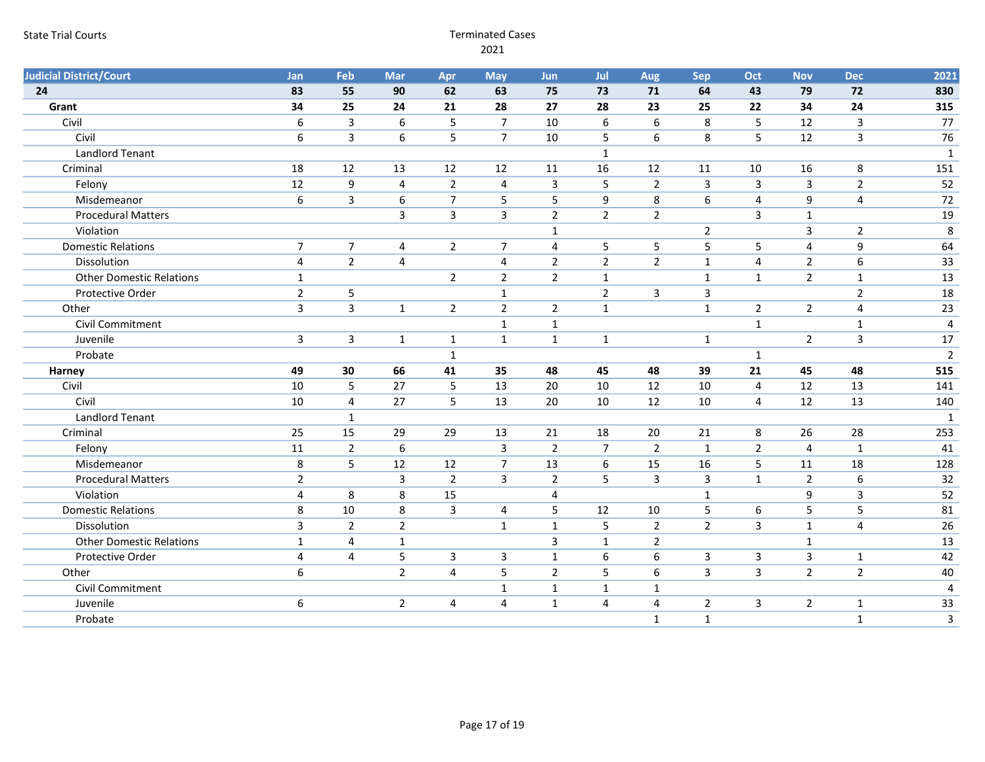| <b>Judicial District/Court</b>  | Jan              | Feb              | <b>Mar</b>              | Apr                     | <b>May</b>     | Jun            | Jul            | Aug              | <b>Sep</b>     | Oct            | <b>Nov</b>     | <b>Dec</b>              | 2021           |
|---------------------------------|------------------|------------------|-------------------------|-------------------------|----------------|----------------|----------------|------------------|----------------|----------------|----------------|-------------------------|----------------|
| 24                              | 83               | 55               | 90                      | 62                      | 63             | 75             | 73             | 71               | 64             | 43             | 79             | 72                      | 830            |
| Grant                           | 34               | 25               | 24                      | 21                      | 28             | 27             | 28             | 23               | 25             | 22             | 34             | 24                      | 315            |
| Civil                           | $\boldsymbol{6}$ | $\mathsf{3}$     | 6                       | 5                       | $\overline{7}$ | 10             | 6              | 6                | 8              | 5              | 12             | 3                       | 77             |
| Civil                           | 6                | $\overline{3}$   | 6                       | 5                       | $\overline{7}$ | 10             | 5              | 6                | 8              | 5              | 12             | 3                       | 76             |
| <b>Landlord Tenant</b>          |                  |                  |                         |                         |                |                | $\mathbf{1}$   |                  |                |                |                |                         | $\mathbf{1}$   |
| Criminal                        | 18               | 12               | 13                      | 12                      | 12             | 11             | 16             | 12               | 11             | 10             | 16             | 8                       | 151            |
| Felony                          | 12               | $\boldsymbol{9}$ | $\overline{\mathbf{4}}$ | $\overline{2}$          | $\overline{4}$ | $\mathbf{3}$   | 5              | $\overline{2}$   | $\mathbf{3}$   | $\mathsf{3}$   | 3              | $\overline{2}$          | 52             |
| Misdemeanor                     | $\boldsymbol{6}$ | $\mathbf{3}$     | 6                       | $\overline{7}$          | 5              | 5              | 9              | 8                | 6              | 4              | 9              | 4                       | 72             |
| <b>Procedural Matters</b>       |                  |                  | 3                       | 3                       | 3              | $\overline{2}$ | $\overline{2}$ | $\overline{2}$   |                | 3              | $\mathbf{1}$   |                         | 19             |
| Violation                       |                  |                  |                         |                         |                | $\mathbf{1}$   |                |                  | $\overline{2}$ |                | 3              | $\overline{2}$          | $\,8\,$        |
| <b>Domestic Relations</b>       | $\overline{7}$   | $\overline{7}$   | 4                       | $\overline{2}$          | $\overline{7}$ | 4              | 5              | 5                | 5              | 5              | 4              | 9                       | 64             |
| Dissolution                     | $\overline{4}$   | $\overline{2}$   | $\overline{4}$          |                         | $\overline{4}$ | $\overline{2}$ | $\overline{2}$ | $\overline{2}$   | $\mathbf 1$    | 4              | $\overline{2}$ | $6\phantom{1}$          | 33             |
| <b>Other Domestic Relations</b> | $\mathbf{1}$     |                  |                         | $\overline{2}$          | $\overline{2}$ | $\overline{2}$ | $\mathbf{1}$   |                  | $\mathbf{1}$   | $\mathbf{1}$   | $\overline{2}$ | $\mathbf{1}$            | 13             |
| Protective Order                | $\overline{2}$   | 5                |                         |                         | $\mathbf{1}$   |                | $\overline{2}$ | 3                | $\overline{3}$ |                |                | $\overline{2}$          | 18             |
| Other                           | $\mathbf{3}$     | $\mathbf{3}$     | $\mathbf{1}$            | $\overline{2}$          | $\overline{2}$ | $\overline{2}$ | $\mathbf{1}$   |                  | $\mathbf{1}$   | $\sqrt{2}$     | $\overline{2}$ | $\overline{\mathbf{4}}$ | 23             |
| Civil Commitment                |                  |                  |                         |                         | $\mathbf{1}$   | $\mathbf 1$    |                |                  |                | $\mathbf{1}$   |                | $\mathbf{1}$            | 4              |
| Juvenile                        | $\mathbf{3}$     | $\mathbf{3}$     | $\mathbf{1}$            | $\mathbf{1}$            | $\mathbf{1}$   | $\mathbf{1}$   | $\mathbf{1}$   |                  | $\mathbf{1}$   |                | $\overline{2}$ | $\overline{3}$          | 17             |
| Probate                         |                  |                  |                         | $\mathbf{1}$            |                |                |                |                  |                | $\mathbf{1}$   |                |                         | $\overline{2}$ |
| Harney                          | 49               | 30               | 66                      | 41                      | 35             | 48             | 45             | 48               | 39             | 21             | 45             | 48                      | 515            |
| Civil                           | 10               | 5                | 27                      | 5                       | 13             | 20             | 10             | 12               | 10             | 4              | 12             | 13                      | 141            |
| Civil                           | 10               | 4                | 27                      | 5                       | 13             | 20             | 10             | 12               | 10             | 4              | 12             | 13                      | 140            |
| Landlord Tenant                 |                  | $\mathbf{1}$     |                         |                         |                |                |                |                  |                |                |                |                         | 1              |
| Criminal                        | 25               | 15               | 29                      | 29                      | 13             | 21             | 18             | 20               | 21             | $\,8\,$        | 26             | 28                      | 253            |
| Felony                          | 11               | $\overline{2}$   | $\boldsymbol{6}$        |                         | 3              | $\overline{2}$ | $\overline{7}$ | $\overline{2}$   | $\mathbf{1}$   | $\overline{2}$ | $\overline{4}$ | $\mathbf{1}$            | 41             |
| Misdemeanor                     | 8                | 5                | 12                      | 12                      | $\overline{7}$ | 13             | $6\phantom{1}$ | 15               | 16             | 5              | 11             | 18                      | 128            |
| <b>Procedural Matters</b>       | $\overline{2}$   |                  | 3                       | $\overline{2}$          | 3              | $\overline{2}$ | 5              | 3                | $\mathbf{3}$   | $\mathbf{1}$   | $\overline{2}$ | $\boldsymbol{6}$        | 32             |
| Violation                       | $\overline{4}$   | 8                | 8                       | 15                      |                | 4              |                |                  | $\mathbf{1}$   |                | 9              | $\overline{3}$          | 52             |
| <b>Domestic Relations</b>       | $\,8\,$          | 10               | 8                       | 3                       | 4              | 5              | 12             | 10               | $\overline{5}$ | 6              | 5              | 5                       | 81             |
| Dissolution                     | 3                | $\overline{2}$   | $\mathbf 2$             |                         | $\mathbf{1}$   | $\mathbf{1}$   | 5              | $\overline{2}$   | $\overline{2}$ | 3              | $\mathbf{1}$   | $\overline{4}$          | 26             |
| <b>Other Domestic Relations</b> | $\mathbf{1}$     | $\overline{4}$   | $\mathbf{1}$            |                         |                | $\overline{3}$ | $\mathbf{1}$   | $\overline{2}$   |                |                | $\mathbf{1}$   |                         | 13             |
| Protective Order                | 4                | 4                | 5                       | 3                       | 3              | $\mathbf{1}$   | 6              | 6                | 3              | 3              | 3              | $\mathbf{1}$            | 42             |
| Other                           | $6\,$            |                  | $\overline{2}$          | $\overline{\mathbf{4}}$ | $\overline{5}$ | $\overline{2}$ | 5              | $\boldsymbol{6}$ | $\overline{3}$ | 3              | $\overline{2}$ | $\overline{2}$          | 40             |
| Civil Commitment                |                  |                  |                         |                         | $\mathbf 1$    | $\mathbf 1$    | $\mathbf 1$    | $\mathbf{1}$     |                |                |                |                         | $\overline{4}$ |
| Juvenile                        | $\boldsymbol{6}$ |                  | $\overline{2}$          | 4                       | $\overline{4}$ | $\mathbf{1}$   | $\overline{4}$ | 4                | $\overline{2}$ | 3              | $\overline{2}$ | $\mathbf{1}$            | 33             |
| Probate                         |                  |                  |                         |                         |                |                |                | $\mathbf{1}$     | $\mathbf{1}$   |                |                | $\mathbf{1}$            | $\overline{3}$ |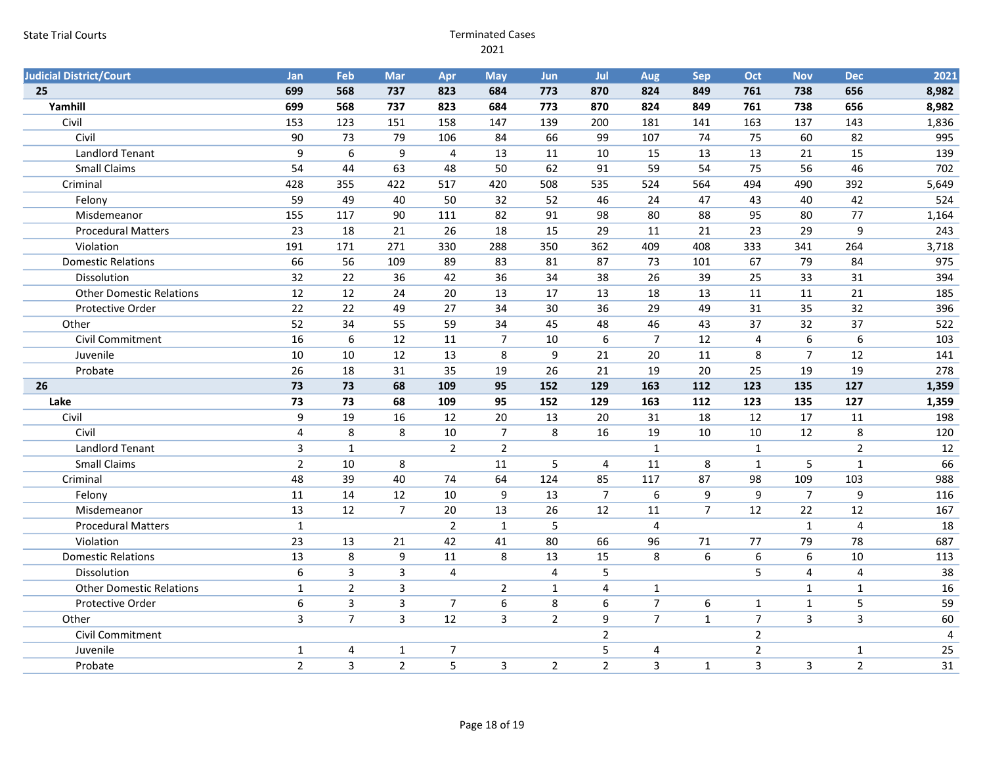| <b>Judicial District/Court</b>  | Jan              | Feb             | <b>Mar</b>              | Apr            | <b>May</b>       | Jun            | Jul             | Aug            | <b>Sep</b>     | Oct              | <b>Nov</b>       | <b>Dec</b>     | 2021  |
|---------------------------------|------------------|-----------------|-------------------------|----------------|------------------|----------------|-----------------|----------------|----------------|------------------|------------------|----------------|-------|
| 25                              | 699              | 568             | 737                     | 823            | 684              | 773            | 870             | 824            | 849            | 761              | 738              | 656            | 8,982 |
| Yamhill                         | 699              | 568             | 737                     | 823            | 684              | 773            | 870             | 824            | 849            | 761              | 738              | 656            | 8,982 |
| Civil                           | 153              | 123             | 151                     | 158            | 147              | 139            | 200             | 181            | 141            | 163              | 137              | 143            | 1,836 |
| Civil                           | 90               | 73              | 79                      | 106            | 84               | 66             | 99              | 107            | 74             | 75               | 60               | 82             | 995   |
| <b>Landlord Tenant</b>          | 9                | $6\phantom{1}6$ | 9                       | $\overline{4}$ | 13               | 11             | 10              | 15             | 13             | 13               | 21               | 15             | 139   |
| <b>Small Claims</b>             | 54               | 44              | 63                      | 48             | 50               | 62             | 91              | 59             | 54             | 75               | 56               | 46             | 702   |
| Criminal                        | 428              | 355             | 422                     | 517            | 420              | 508            | 535             | 524            | 564            | 494              | 490              | 392            | 5,649 |
| Felony                          | 59               | 49              | 40                      | 50             | 32               | 52             | 46              | 24             | 47             | 43               | 40               | 42             | 524   |
| Misdemeanor                     | 155              | 117             | 90                      | 111            | 82               | 91             | 98              | 80             | 88             | 95               | 80               | 77             | 1,164 |
| <b>Procedural Matters</b>       | 23               | 18              | 21                      | 26             | 18               | 15             | 29              | 11             | 21             | 23               | 29               | 9              | 243   |
| Violation                       | 191              | 171             | 271                     | 330            | 288              | 350            | 362             | 409            | 408            | 333              | 341              | 264            | 3,718 |
| <b>Domestic Relations</b>       | 66               | 56              | 109                     | 89             | 83               | 81             | 87              | 73             | 101            | 67               | 79               | 84             | 975   |
| Dissolution                     | 32               | 22              | 36                      | 42             | 36               | 34             | 38              | 26             | 39             | 25               | 33               | 31             | 394   |
| <b>Other Domestic Relations</b> | 12               | 12              | 24                      | 20             | 13               | 17             | 13              | 18             | 13             | 11               | 11               | 21             | 185   |
| Protective Order                | 22               | 22              | 49                      | 27             | 34               | 30             | 36              | 29             | 49             | 31               | 35               | 32             | 396   |
| Other                           | 52               | 34              | 55                      | 59             | 34               | 45             | 48              | 46             | 43             | 37               | 32               | 37             | 522   |
| Civil Commitment                | 16               | $6\,$           | 12                      | 11             | $\overline{7}$   | 10             | 6               | $\overline{7}$ | 12             | $\overline{4}$   | $6\,$            | 6              | 103   |
| Juvenile                        | 10               | 10              | 12                      | 13             | 8                | 9              | 21              | 20             | 11             | 8                | $\overline{7}$   | 12             | 141   |
| Probate                         | 26               | 18              | 31                      | 35             | 19               | 26             | 21              | 19             | 20             | 25               | 19               | 19             | 278   |
| 26                              | 73               | 73              | 68                      | 109            | 95               | 152            | 129             | 163            | 112            | 123              | 135              | 127            | 1,359 |
| Lake                            | 73               | 73              | 68                      | 109            | 95               | 152            | 129             | 163            | 112            | 123              | 135              | 127            | 1,359 |
| Civil                           | 9                | 19              | 16                      | 12             | 20               | 13             | 20              | 31             | 18             | 12               | 17               | 11             | 198   |
| Civil                           | $\overline{4}$   | $\,8\,$         | 8                       | 10             | $\overline{7}$   | 8              | 16              | 19             | 10             | 10               | 12               | $\,8\,$        | 120   |
| <b>Landlord Tenant</b>          | $\mathsf{3}$     | $\mathbf{1}$    |                         | $\overline{2}$ | $\overline{2}$   |                |                 | $\mathbf{1}$   |                | $\mathbf{1}$     |                  | $\overline{2}$ | 12    |
| <b>Small Claims</b>             | $\overline{2}$   | 10              | 8                       |                | 11               | 5              | $\overline{4}$  | 11             | 8              | $\mathbf{1}$     | 5                | $\mathbf{1}$   | 66    |
| Criminal                        | 48               | 39              | 40                      | 74             | 64               | 124            | 85              | 117            | 87             | 98               | 109              | 103            | 988   |
| Felony                          | 11               | 14              | 12                      | 10             | 9                | 13             | $\overline{7}$  | 6              | 9              | 9                | $\overline{7}$   | 9              | 116   |
| Misdemeanor                     | 13               | 12              | $\overline{7}$          | 20             | 13               | 26             | 12              | 11             | $\overline{7}$ | 12               | 22               | 12             | 167   |
| <b>Procedural Matters</b>       | $\mathbf 1$      |                 |                         | $\overline{2}$ | $\mathbf{1}$     | 5              |                 | $\overline{4}$ |                |                  | $\mathbf{1}$     | $\overline{4}$ | 18    |
| Violation                       | 23               | 13              | 21                      | 42             | 41               | 80             | 66              | 96             | $71\,$         | 77               | 79               | 78             | 687   |
| <b>Domestic Relations</b>       | 13               | 8               | $\boldsymbol{9}$        | 11             | 8                | 13             | 15              | 8              | 6              | $\boldsymbol{6}$ | $\boldsymbol{6}$ | 10             | 113   |
| Dissolution                     | 6                | $\mathsf{3}$    | $\overline{\mathbf{3}}$ | $\overline{4}$ |                  | 4              | 5               |                |                | 5                | $\overline{4}$   | $\overline{4}$ | 38    |
| <b>Other Domestic Relations</b> | $\mathbf{1}$     | $\overline{2}$  | 3                       |                | $\overline{2}$   | $\mathbf{1}$   | 4               | $\mathbf{1}$   |                |                  | $\mathbf{1}$     | $\mathbf 1$    | 16    |
| Protective Order                | $\boldsymbol{6}$ | 3               | 3                       | $\overline{7}$ | $\boldsymbol{6}$ | 8              | 6               | $\overline{7}$ | 6              | $\mathbf{1}$     | $\mathbf{1}$     | $\overline{5}$ | 59    |
| Other                           | 3                | $\overline{7}$  | 3                       | 12             | 3                | $\overline{2}$ | 9               | $\overline{7}$ | $\mathbf{1}$   | $\overline{7}$   | $\overline{3}$   | $\overline{3}$ | 60    |
| <b>Civil Commitment</b>         |                  |                 |                         |                |                  |                | $\overline{2}$  |                |                | $\overline{2}$   |                  |                | 4     |
| Juvenile                        | $\mathbf{1}$     | 4               | $\mathbf{1}$            | $\overline{7}$ |                  |                | $5\phantom{.0}$ | 4              |                | $\overline{2}$   |                  | $\mathbf{1}$   | 25    |
| Probate                         | $\overline{2}$   | 3               | $\overline{2}$          | 5              | $\overline{3}$   | $\overline{2}$ | $\overline{2}$  | $\overline{3}$ | $\mathbf{1}$   | $\overline{3}$   | 3                | $\overline{2}$ | 31    |